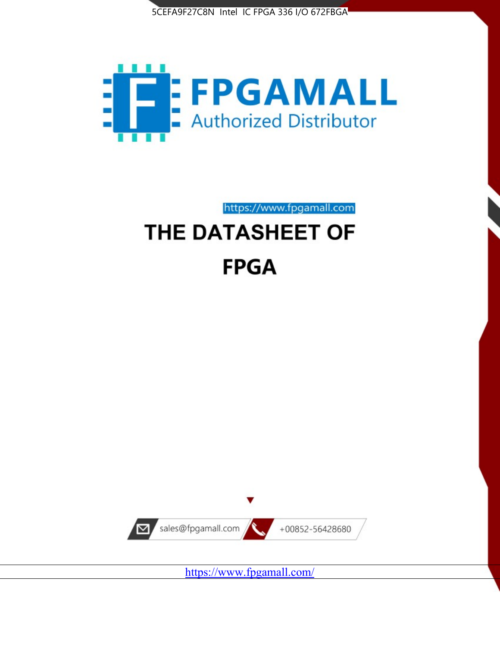



https://www.fpgamall.com

# THE DATASHEET OF **FPGA**



<https://www.fpgamall.com/>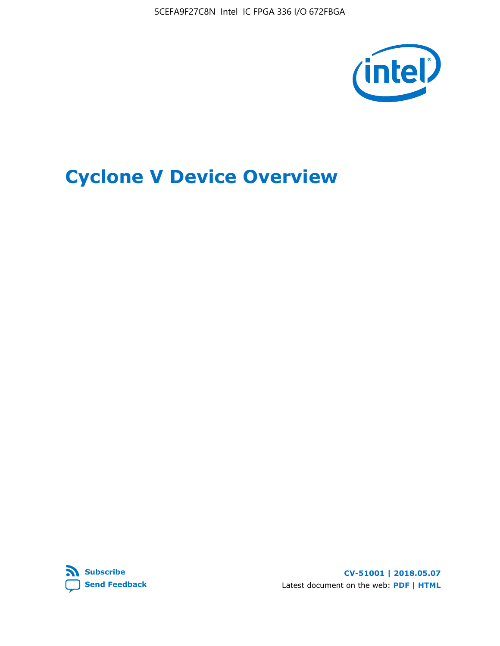5CEFA9F27C8N Intel IC FPGA 336 I/O 672FBGA



# **Cyclone V Device Overview**



**CV-51001 | 2018.05.07** Latest document on the web: **[PDF](https://www.altera.com/en_US/pdfs/literature/hb/cyclone-v/cv_51001.pdf)** | **[HTML](https://www.altera.com/documentation/sam1403480548153.html)**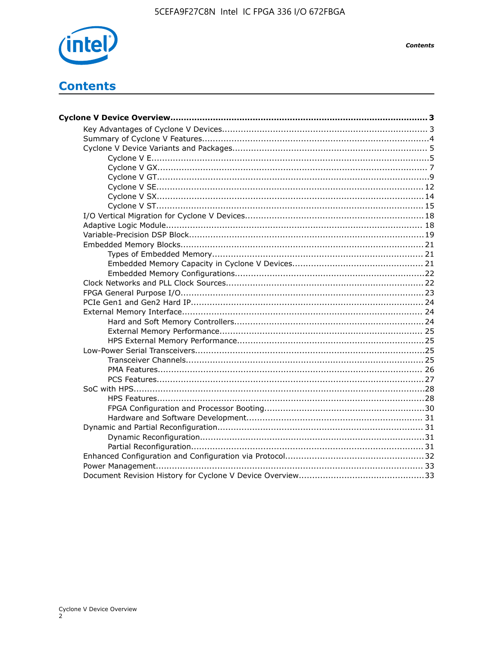

**Contents** 

# **Contents**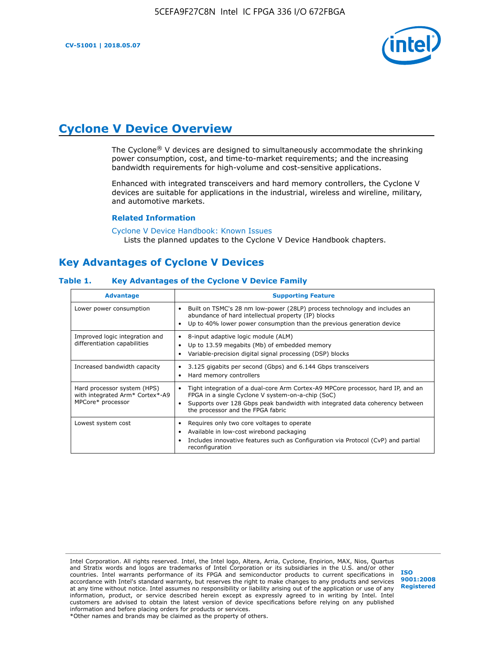

# **Cyclone V Device Overview**

The Cyclone® V devices are designed to simultaneously accommodate the shrinking power consumption, cost, and time-to-market requirements; and the increasing bandwidth requirements for high-volume and cost-sensitive applications.

Enhanced with integrated transceivers and hard memory controllers, the Cyclone V devices are suitable for applications in the industrial, wireless and wireline, military, and automotive markets.

#### **Related Information**

[Cyclone V Device Handbook: Known Issues](https://www.altera.com/support/support-resources/knowledge-base/solutions/rd12152011_347.html) Lists the planned updates to the Cyclone V Device Handbook chapters.

# **Key Advantages of Cyclone V Devices**

#### **Table 1. Key Advantages of the Cyclone V Device Family**

| <b>Advantage</b>                                                                    | <b>Supporting Feature</b>                                                                                                                                                                                                                                                    |
|-------------------------------------------------------------------------------------|------------------------------------------------------------------------------------------------------------------------------------------------------------------------------------------------------------------------------------------------------------------------------|
| Lower power consumption                                                             | Built on TSMC's 28 nm low-power (28LP) process technology and includes an<br>٠<br>abundance of hard intellectual property (IP) blocks<br>Up to 40% lower power consumption than the previous generation device<br>٠                                                          |
| Improved logic integration and<br>differentiation capabilities                      | 8-input adaptive logic module (ALM)<br>٠<br>Up to 13.59 megabits (Mb) of embedded memory<br>٠<br>Variable-precision digital signal processing (DSP) blocks<br>٠                                                                                                              |
| Increased bandwidth capacity                                                        | 3.125 gigabits per second (Gbps) and 6.144 Gbps transceivers<br>٠<br>Hard memory controllers<br>٠                                                                                                                                                                            |
| Hard processor system (HPS)<br>with integrated Arm* Cortex*-A9<br>MPCore* processor | Tight integration of a dual-core Arm Cortex-A9 MPCore processor, hard IP, and an<br>$\bullet$<br>FPGA in a single Cyclone V system-on-a-chip (SoC)<br>Supports over 128 Gbps peak bandwidth with integrated data coherency between<br>٠<br>the processor and the FPGA fabric |
| Lowest system cost                                                                  | Requires only two core voltages to operate<br>٠<br>Available in low-cost wirebond packaging<br>٠<br>Includes innovative features such as Configuration via Protocol (CvP) and partial<br>٠<br>reconfiguration                                                                |

Intel Corporation. All rights reserved. Intel, the Intel logo, Altera, Arria, Cyclone, Enpirion, MAX, Nios, Quartus and Stratix words and logos are trademarks of Intel Corporation or its subsidiaries in the U.S. and/or other countries. Intel warrants performance of its FPGA and semiconductor products to current specifications in accordance with Intel's standard warranty, but reserves the right to make changes to any products and services at any time without notice. Intel assumes no responsibility or liability arising out of the application or use of any information, product, or service described herein except as expressly agreed to in writing by Intel. Intel customers are advised to obtain the latest version of device specifications before relying on any published information and before placing orders for products or services. \*Other names and brands may be claimed as the property of others.

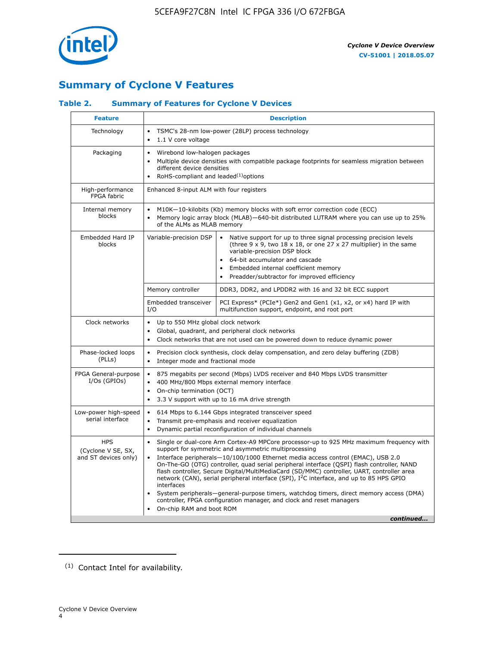

# **Summary of Cyclone V Features**

## **Table 2. Summary of Features for Cyclone V Devices**

| <b>Feature</b>                                           | <b>Description</b>                                                                                                                                                                                      |                                                                                                                                                                                                                                                                                                                                                                                                                                                                                                                                                                                                                                                                                                         |  |  |  |  |  |
|----------------------------------------------------------|---------------------------------------------------------------------------------------------------------------------------------------------------------------------------------------------------------|---------------------------------------------------------------------------------------------------------------------------------------------------------------------------------------------------------------------------------------------------------------------------------------------------------------------------------------------------------------------------------------------------------------------------------------------------------------------------------------------------------------------------------------------------------------------------------------------------------------------------------------------------------------------------------------------------------|--|--|--|--|--|
| Technology                                               | $\bullet$<br>1.1 V core voltage<br>$\bullet$                                                                                                                                                            | TSMC's 28-nm low-power (28LP) process technology                                                                                                                                                                                                                                                                                                                                                                                                                                                                                                                                                                                                                                                        |  |  |  |  |  |
| Packaging                                                | Wirebond low-halogen packages<br>$\bullet$<br>different device densities<br>RoHS-compliant and leaded $(1)$ options                                                                                     | Multiple device densities with compatible package footprints for seamless migration between                                                                                                                                                                                                                                                                                                                                                                                                                                                                                                                                                                                                             |  |  |  |  |  |
| High-performance<br>FPGA fabric                          | Enhanced 8-input ALM with four registers                                                                                                                                                                |                                                                                                                                                                                                                                                                                                                                                                                                                                                                                                                                                                                                                                                                                                         |  |  |  |  |  |
| Internal memory<br>blocks                                | of the ALMs as MLAB memory                                                                                                                                                                              | M10K-10-kilobits (Kb) memory blocks with soft error correction code (ECC)<br>Memory logic array block (MLAB)-640-bit distributed LUTRAM where you can use up to 25%                                                                                                                                                                                                                                                                                                                                                                                                                                                                                                                                     |  |  |  |  |  |
| Embedded Hard IP<br>blocks                               | Variable-precision DSP                                                                                                                                                                                  | Native support for up to three signal processing precision levels<br>(three $9 \times 9$ , two $18 \times 18$ , or one 27 x 27 multiplier) in the same<br>variable-precision DSP block<br>64-bit accumulator and cascade<br>Embedded internal coefficient memory<br>Preadder/subtractor for improved efficiency                                                                                                                                                                                                                                                                                                                                                                                         |  |  |  |  |  |
|                                                          | Memory controller                                                                                                                                                                                       | DDR3, DDR2, and LPDDR2 with 16 and 32 bit ECC support                                                                                                                                                                                                                                                                                                                                                                                                                                                                                                                                                                                                                                                   |  |  |  |  |  |
|                                                          | Embedded transceiver<br>I/O                                                                                                                                                                             | PCI Express* (PCIe*) Gen2 and Gen1 (x1, x2, or x4) hard IP with<br>multifunction support, endpoint, and root port                                                                                                                                                                                                                                                                                                                                                                                                                                                                                                                                                                                       |  |  |  |  |  |
| Clock networks                                           | Up to 550 MHz global clock network<br>$\bullet$<br>$\bullet$                                                                                                                                            | Global, quadrant, and peripheral clock networks<br>Clock networks that are not used can be powered down to reduce dynamic power                                                                                                                                                                                                                                                                                                                                                                                                                                                                                                                                                                         |  |  |  |  |  |
| Phase-locked loops<br>(PLLs)                             | $\bullet$<br>Integer mode and fractional mode<br>$\bullet$                                                                                                                                              | Precision clock synthesis, clock delay compensation, and zero delay buffering (ZDB)                                                                                                                                                                                                                                                                                                                                                                                                                                                                                                                                                                                                                     |  |  |  |  |  |
| FPGA General-purpose<br>$I/Os$ (GPIOs)                   | $\bullet$<br>$\bullet$<br>$\bullet$                                                                                                                                                                     | 875 megabits per second (Mbps) LVDS receiver and 840 Mbps LVDS transmitter<br>400 MHz/800 Mbps external memory interface<br>On-chip termination (OCT)<br>3.3 V support with up to 16 mA drive strength                                                                                                                                                                                                                                                                                                                                                                                                                                                                                                  |  |  |  |  |  |
| Low-power high-speed<br>serial interface                 | 614 Mbps to 6.144 Gbps integrated transceiver speed<br>$\bullet$<br>Transmit pre-emphasis and receiver equalization<br>$\bullet$<br>Dynamic partial reconfiguration of individual channels<br>$\bullet$ |                                                                                                                                                                                                                                                                                                                                                                                                                                                                                                                                                                                                                                                                                                         |  |  |  |  |  |
| <b>HPS</b><br>(Cyclone V SE, SX,<br>and ST devices only) | $\bullet$<br>$\bullet$<br>interfaces<br>On-chip RAM and boot ROM                                                                                                                                        | Single or dual-core Arm Cortex-A9 MPCore processor-up to 925 MHz maximum frequency with<br>support for symmetric and asymmetric multiprocessing<br>Interface peripherals-10/100/1000 Ethernet media access control (EMAC), USB 2.0<br>On-The-GO (OTG) controller, quad serial peripheral interface (QSPI) flash controller, NAND<br>flash controller, Secure Digital/MultiMediaCard (SD/MMC) controller, UART, controller area<br>network (CAN), serial peripheral interface (SPI), I <sup>2</sup> C interface, and up to 85 HPS GPIO<br>System peripherals—general-purpose timers, watchdog timers, direct memory access (DMA)<br>controller, FPGA configuration manager, and clock and reset managers |  |  |  |  |  |
|                                                          |                                                                                                                                                                                                         | continued                                                                                                                                                                                                                                                                                                                                                                                                                                                                                                                                                                                                                                                                                               |  |  |  |  |  |

<sup>(1)</sup> Contact Intel for availability.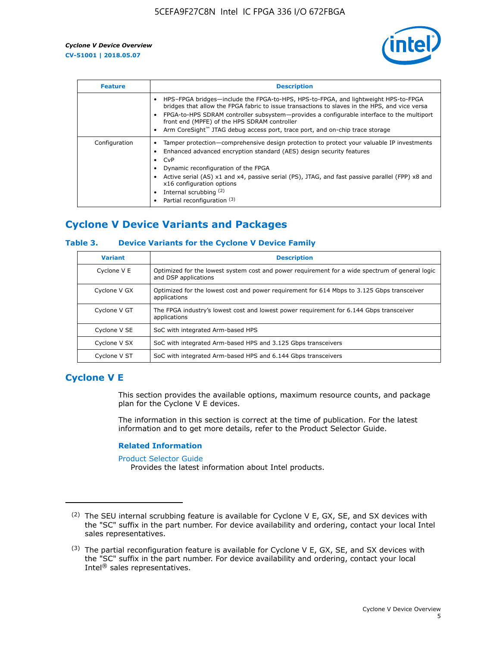

| <b>Feature</b> | <b>Description</b>                                                                                                                                                                                                                                                                                                                                                                                                 |
|----------------|--------------------------------------------------------------------------------------------------------------------------------------------------------------------------------------------------------------------------------------------------------------------------------------------------------------------------------------------------------------------------------------------------------------------|
|                | HPS-FPGA bridges—include the FPGA-to-HPS, HPS-to-FPGA, and lightweight HPS-to-FPGA<br>bridges that allow the FPGA fabric to issue transactions to slaves in the HPS, and vice versa<br>FPGA-to-HPS SDRAM controller subsystem—provides a configurable interface to the multiport<br>front end (MPFE) of the HPS SDRAM controller<br>Arm CoreSight™ JTAG debug access port, trace port, and on-chip trace storage   |
| Configuration  | Tamper protection—comprehensive design protection to protect your valuable IP investments<br>Enhanced advanced encryption standard (AES) design security features<br>$\bullet$ CvP<br>Dynamic reconfiguration of the FPGA<br>Active serial (AS) x1 and x4, passive serial (PS), JTAG, and fast passive parallel (FPP) x8 and<br>x16 configuration options<br>Internal scrubbing (2)<br>Partial reconfiguration (3) |

# **Cyclone V Device Variants and Packages**

#### **Table 3. Device Variants for the Cyclone V Device Family**

| <b>Variant</b> | <b>Description</b>                                                                                                      |
|----------------|-------------------------------------------------------------------------------------------------------------------------|
| Cyclone V E    | Optimized for the lowest system cost and power requirement for a wide spectrum of general logic<br>and DSP applications |
| Cyclone V GX   | Optimized for the lowest cost and power requirement for 614 Mbps to 3.125 Gbps transceiver<br>applications              |
| Cyclone V GT   | The FPGA industry's lowest cost and lowest power requirement for 6.144 Gbps transceiver<br>applications                 |
| Cyclone V SE   | SoC with integrated Arm-based HPS                                                                                       |
| Cyclone V SX   | SoC with integrated Arm-based HPS and 3.125 Gbps transceivers                                                           |
| Cyclone V ST   | SoC with integrated Arm-based HPS and 6.144 Gbps transceivers                                                           |

# **Cyclone V E**

This section provides the available options, maximum resource counts, and package plan for the Cyclone V E devices.

The information in this section is correct at the time of publication. For the latest information and to get more details, refer to the Product Selector Guide.

#### **Related Information**

[Product Selector Guide](https://www.altera.com/products/product-selector-guide.html)

Provides the latest information about Intel products.

<sup>(2)</sup> The SEU internal scrubbing feature is available for Cyclone V E, GX, SE, and SX devices with the "SC" suffix in the part number. For device availability and ordering, contact your local Intel sales representatives.

 $(3)$  The partial reconfiguration feature is available for Cyclone V E, GX, SE, and SX devices with the "SC" suffix in the part number. For device availability and ordering, contact your local Intel® sales representatives.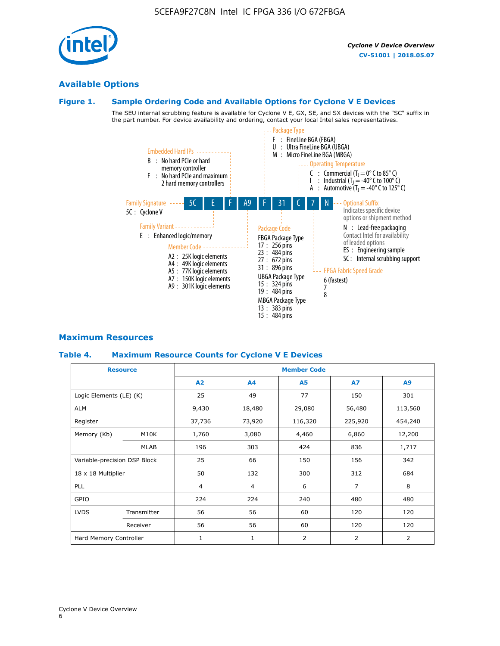# **Available Options**

#### **Figure 1. Sample Ordering Code and Available Options for Cyclone V E Devices**

The SEU internal scrubbing feature is available for Cyclone V E, GX, SE, and SX devices with the "SC" suffix in the part number. For device availability and ordering, contact your local Intel sales representatives.



# **Maximum Resources**

#### **Table 4. Maximum Resource Counts for Cyclone V E Devices**

| <b>Resource</b>              |             | <b>Member Code</b> |              |                |                |         |  |  |
|------------------------------|-------------|--------------------|--------------|----------------|----------------|---------|--|--|
|                              |             | A2                 | A4           | <b>A5</b>      | <b>A7</b>      | A9      |  |  |
| Logic Elements (LE) (K)      |             | 25                 | 49           | 77             | 150            | 301     |  |  |
| <b>ALM</b>                   |             | 9,430              | 18,480       | 29,080         | 56,480         | 113,560 |  |  |
| Register                     |             | 37,736             | 73,920       | 116,320        | 225,920        | 454,240 |  |  |
| Memory (Kb)                  | M10K        | 1,760              | 3,080        | 4,460          | 6,860          | 12,200  |  |  |
|                              | MLAB        | 196                | 303          | 424            | 836            | 1,717   |  |  |
| Variable-precision DSP Block |             | 25                 | 66           | 150            | 156            | 342     |  |  |
| 18 x 18 Multiplier           |             | 50                 | 132          | 300            | 312            | 684     |  |  |
| PLL                          |             | $\overline{4}$     | 4            | 6              | $\overline{7}$ | 8       |  |  |
| GPIO                         |             | 224                | 224          | 240<br>480     |                | 480     |  |  |
| <b>LVDS</b>                  | Transmitter | 56                 | 56           | 60             | 120            | 120     |  |  |
|                              | Receiver    | 56                 | 56           | 60             | 120            | 120     |  |  |
| Hard Memory Controller       |             | $\mathbf{1}$       | $\mathbf{1}$ | $\overline{2}$ | $\overline{2}$ | 2       |  |  |

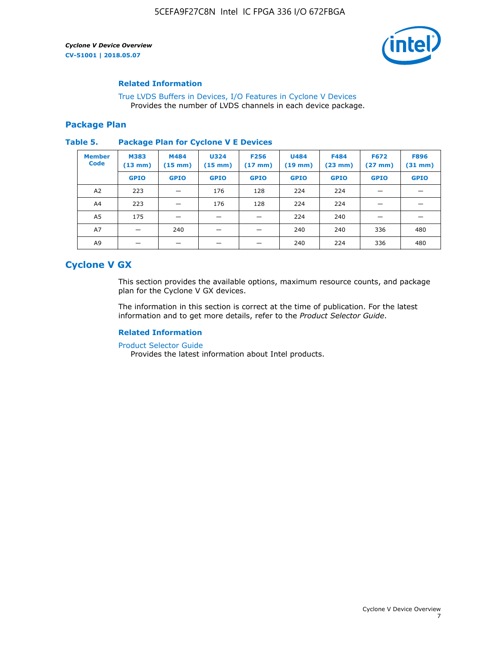

#### **Related Information**

[True LVDS Buffers in Devices, I/O Features in Cyclone V Devices](https://www.altera.com/documentation/sam1403481100977.html#sam1403480885395) Provides the number of LVDS channels in each device package.

#### **Package Plan**

#### **Table 5. Package Plan for Cyclone V E Devices**

| <b>Member</b><br><b>Code</b> | <b>M383</b><br>$(13 \text{ mm})$ | M484<br>$(15 \text{ mm})$ | <b>U324</b><br>$(15 \text{ mm})$ | <b>F256</b><br>$(17 \text{ mm})$ | <b>U484</b><br>$(19$ mm) | <b>F484</b><br>$(23$ mm $)$ | <b>F672</b><br>$(27 \text{ mm})$ | <b>F896</b><br>$(31 \text{ mm})$ |
|------------------------------|----------------------------------|---------------------------|----------------------------------|----------------------------------|--------------------------|-----------------------------|----------------------------------|----------------------------------|
|                              | <b>GPIO</b>                      | <b>GPIO</b>               | <b>GPIO</b>                      | <b>GPIO</b>                      | <b>GPIO</b>              | <b>GPIO</b>                 | <b>GPIO</b>                      | <b>GPIO</b>                      |
| A <sub>2</sub>               | 223                              |                           | 176                              | 128                              | 224                      | 224                         |                                  |                                  |
| A4                           | 223                              |                           | 176                              | 128                              | 224                      | 224                         | –                                |                                  |
| A <sub>5</sub>               | 175                              |                           |                                  |                                  | 224                      | 240                         |                                  |                                  |
| A7                           |                                  | 240                       |                                  |                                  | 240                      | 240                         | 336                              | 480                              |
| A9                           |                                  |                           |                                  |                                  | 240                      | 224                         | 336                              | 480                              |

# **Cyclone V GX**

This section provides the available options, maximum resource counts, and package plan for the Cyclone V GX devices.

The information in this section is correct at the time of publication. For the latest information and to get more details, refer to the *Product Selector Guide*.

#### **Related Information**

[Product Selector Guide](https://www.altera.com/products/product-selector-guide.html)

Provides the latest information about Intel products.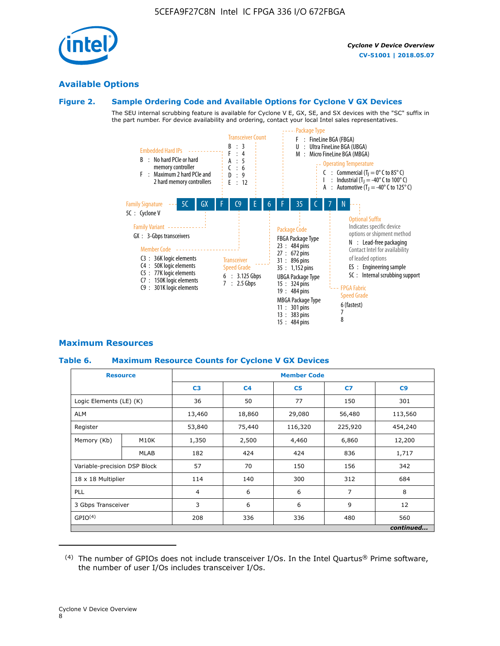

# **Available Options**

# **Figure 2. Sample Ordering Code and Available Options for Cyclone V GX Devices**

The SEU internal scrubbing feature is available for Cyclone V E, GX, SE, and SX devices with the "SC" suffix in the part number. For device availability and ordering, contact your local Intel sales representatives.



# **Maximum Resources**

# **Table 6. Maximum Resource Counts for Cyclone V GX Devices**

| <b>Resource</b>              |             | <b>Member Code</b> |                          |                |         |           |  |  |
|------------------------------|-------------|--------------------|--------------------------|----------------|---------|-----------|--|--|
|                              |             | C <sub>3</sub>     | C <sub>4</sub>           | C <sub>5</sub> | C7      | C9        |  |  |
| Logic Elements (LE) (K)      |             | 36                 | 50                       | 77             | 150     | 301       |  |  |
| <b>ALM</b>                   |             | 13,460             | 18,860                   | 29,080         | 56,480  | 113,560   |  |  |
| Register                     |             | 53,840             | 75,440                   | 116,320        | 225,920 | 454,240   |  |  |
| Memory (Kb)                  | M10K        | 1,350              | 2,500                    | 4,460          | 6,860   | 12,200    |  |  |
|                              | <b>MLAB</b> | 182                | 424                      | 424            | 836     | 1,717     |  |  |
| Variable-precision DSP Block |             | 57                 | 70                       | 150            | 156     | 342       |  |  |
| 18 x 18 Multiplier           |             | 114                | 140                      | 300            | 312     | 684       |  |  |
| <b>PLL</b>                   |             |                    | 6<br>6<br>$\overline{4}$ |                | 7       | 8         |  |  |
| 3 Gbps Transceiver           |             | 3                  | 6                        | 6              | 9       |           |  |  |
| GPIO <sup>(4)</sup>          |             | 208                | 336                      | 336            | 480     | 560       |  |  |
|                              |             |                    |                          |                |         | continued |  |  |

 $(4)$  The number of GPIOs does not include transceiver I/Os. In the Intel Quartus® Prime software, the number of user I/Os includes transceiver I/Os.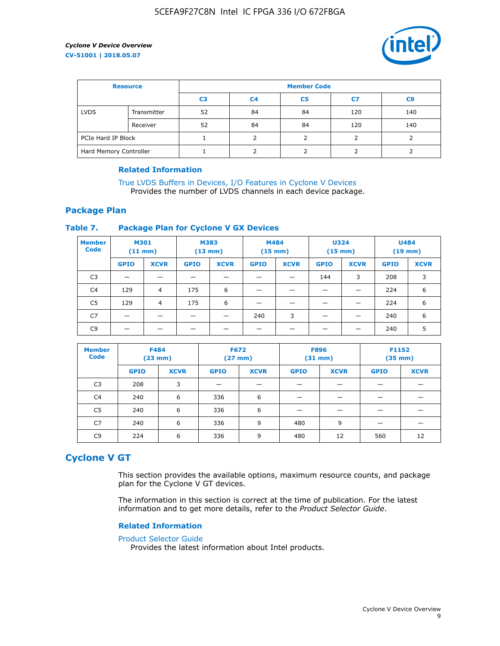

| <b>Resource</b>        |             | <b>Member Code</b> |                |                |     |                |  |  |
|------------------------|-------------|--------------------|----------------|----------------|-----|----------------|--|--|
|                        |             | C <sub>3</sub>     | C <sub>4</sub> | C <sub>5</sub> | C7  | C <sub>9</sub> |  |  |
| <b>LVDS</b>            | Transmitter | 52                 | 84             | 84             | 120 | 140            |  |  |
|                        | Receiver    | 52                 | 84             | 84             | 120 | 140            |  |  |
| PCIe Hard IP Block     |             |                    |                |                |     |                |  |  |
| Hard Memory Controller |             |                    | h              |                |     |                |  |  |

#### **Related Information**

[True LVDS Buffers in Devices, I/O Features in Cyclone V Devices](https://www.altera.com/documentation/sam1403481100977.html#sam1403480885395) Provides the number of LVDS channels in each device package.

## **Package Plan**

#### **Table 7. Package Plan for Cyclone V GX Devices**

| <b>Member</b><br><b>Code</b> | <b>M301</b><br>$(11$ mm) |                | <b>M383</b><br>$(13 \text{ mm})$ |             | M484        | $(15 \text{ mm})$ | <b>U324</b><br>$(15 \text{ mm})$ |             | <b>U484</b><br>$(19$ mm) |             |
|------------------------------|--------------------------|----------------|----------------------------------|-------------|-------------|-------------------|----------------------------------|-------------|--------------------------|-------------|
|                              | <b>GPIO</b>              | <b>XCVR</b>    | <b>GPIO</b>                      | <b>XCVR</b> | <b>GPIO</b> | <b>XCVR</b>       | <b>GPIO</b>                      | <b>XCVR</b> | <b>GPIO</b>              | <b>XCVR</b> |
| C <sub>3</sub>               |                          |                |                                  |             |             |                   | 144                              | 3           | 208                      | 3           |
| C <sub>4</sub>               | 129                      | $\overline{4}$ | 175                              | 6           |             |                   | –                                |             | 224                      | 6           |
| C5                           | 129                      | 4              | 175                              | 6           |             |                   |                                  |             | 224                      | 6           |
| C7                           | _                        |                |                                  |             | 240         | 3                 |                                  |             | 240                      | 6           |
| C <sub>9</sub>               |                          |                |                                  |             |             |                   |                                  |             | 240                      | 5           |

| <b>Member</b><br><b>Code</b> | <b>F484</b> | $(23$ mm)   | <b>F672</b> | $(27$ mm $)$ | <b>F896</b><br>$(31 \text{ mm})$ |             | F1152<br>$(35 \text{ mm})$ |             |
|------------------------------|-------------|-------------|-------------|--------------|----------------------------------|-------------|----------------------------|-------------|
|                              | <b>GPIO</b> | <b>XCVR</b> | <b>GPIO</b> | <b>XCVR</b>  | <b>GPIO</b>                      | <b>XCVR</b> | <b>GPIO</b>                | <b>XCVR</b> |
| C <sub>3</sub>               | 208         | 3           |             |              |                                  |             |                            |             |
| C4                           | 240         | 6           | 336         | 6            |                                  |             |                            |             |
| C5                           | 240         | 6           | 336         | 6            |                                  |             |                            |             |
| C <sub>7</sub>               | 240         | 6           | 336         | 9            | 480                              | 9           |                            |             |
| C <sub>9</sub>               | 224         | 6           | 336         | 9            | 480                              | 12          | 560                        | 12          |

# **Cyclone V GT**

This section provides the available options, maximum resource counts, and package plan for the Cyclone V GT devices.

The information in this section is correct at the time of publication. For the latest information and to get more details, refer to the *Product Selector Guide*.

#### **Related Information**

#### [Product Selector Guide](https://www.altera.com/products/product-selector-guide.html)

Provides the latest information about Intel products.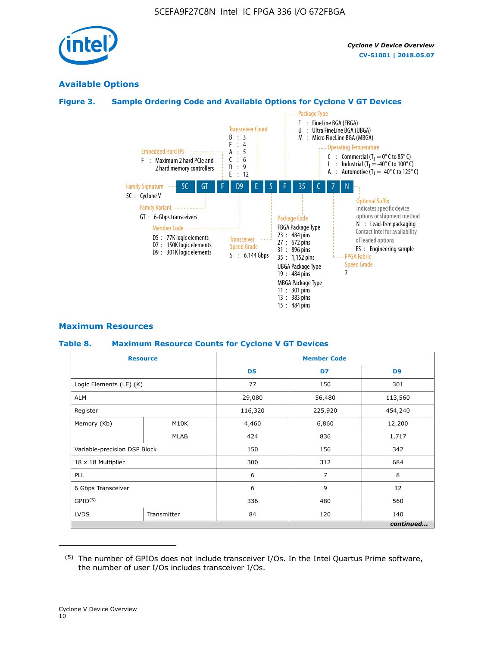

# **Available Options**

## **Figure 3. Sample Ordering Code and Available Options for Cyclone V GT Devices**



#### **Maximum Resources**

#### **Table 8. Maximum Resource Counts for Cyclone V GT Devices**

|                              | <b>Resource</b> | <b>Member Code</b> |         |                |  |  |
|------------------------------|-----------------|--------------------|---------|----------------|--|--|
|                              |                 | D <sub>5</sub>     | D7      | D <sub>9</sub> |  |  |
| Logic Elements (LE) (K)      |                 | 77                 | 150     | 301            |  |  |
| <b>ALM</b>                   |                 | 29,080             | 56,480  | 113,560        |  |  |
| Register                     |                 | 116,320            | 225,920 | 454,240        |  |  |
| Memory (Kb)                  | M10K            | 4,460              | 6,860   | 12,200         |  |  |
|                              | <b>MLAB</b>     | 424                | 836     | 1,717          |  |  |
| Variable-precision DSP Block |                 | 150                | 156     | 342            |  |  |
| 18 x 18 Multiplier           |                 | 300                | 312     | 684            |  |  |
| PLL                          |                 | 6                  | 7       | 8              |  |  |
| 6 Gbps Transceiver           |                 | 6                  | 9       | 12             |  |  |
| GPIO <sup>(5)</sup>          |                 | 336                | 480     | 560            |  |  |
| <b>LVDS</b>                  | Transmitter     | 84                 | 120     | 140            |  |  |
|                              |                 |                    |         | continued      |  |  |

<sup>(5)</sup> The number of GPIOs does not include transceiver I/Os. In the Intel Quartus Prime software, the number of user I/Os includes transceiver I/Os.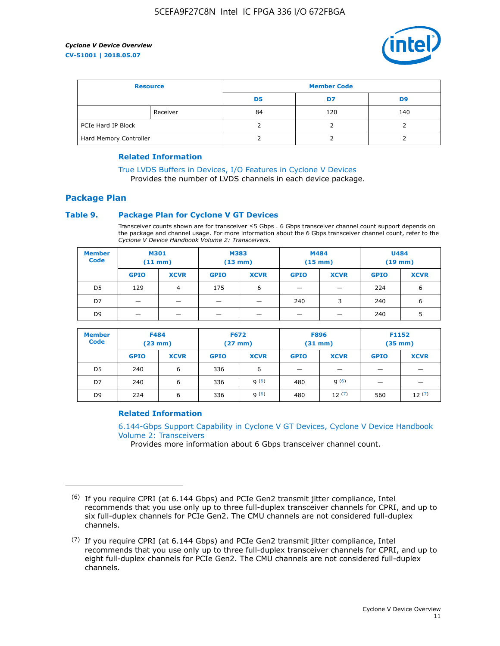

| <b>Resource</b>        |          | <b>Member Code</b> |     |     |  |  |
|------------------------|----------|--------------------|-----|-----|--|--|
|                        |          | D5                 | D7  | D9  |  |  |
|                        | Receiver | 84                 | 120 | 140 |  |  |
| PCIe Hard IP Block     |          |                    |     |     |  |  |
| Hard Memory Controller |          |                    |     |     |  |  |

#### **Related Information**

[True LVDS Buffers in Devices, I/O Features in Cyclone V Devices](https://www.altera.com/documentation/sam1403481100977.html#sam1403480885395) Provides the number of LVDS channels in each device package.

## **Package Plan**

#### **Table 9. Package Plan for Cyclone V GT Devices**

Transceiver counts shown are for transceiver ≤5 Gbps . 6 Gbps transceiver channel count support depends on the package and channel usage. For more information about the 6 Gbps transceiver channel count, refer to the *Cyclone V Device Handbook Volume 2: Transceivers*.

| <b>Member</b><br><b>Code</b> | <b>M301</b><br>(11 mm)   |                | M383<br>$(13 \text{ mm})$ |             | M484<br>$(15 \text{ mm})$ |             | <b>U484</b><br>$(19$ mm) |             |
|------------------------------|--------------------------|----------------|---------------------------|-------------|---------------------------|-------------|--------------------------|-------------|
|                              | <b>GPIO</b>              | <b>XCVR</b>    | <b>GPIO</b>               | <b>XCVR</b> | <b>GPIO</b>               | <b>XCVR</b> | <b>GPIO</b>              | <b>XCVR</b> |
| D <sub>5</sub>               | 129                      | $\overline{4}$ | 175                       | 6           | -                         | -           | 224                      | 6           |
| D7                           | -                        | -              |                           |             | 240                       | 3           | 240                      | 6           |
| D <sub>9</sub>               | $\overline{\phantom{0}}$ | _              |                           |             | -                         |             | 240                      | 5           |

| <b>Member</b><br><b>Code</b> | <b>F484</b><br>$(23$ mm $)$ |             | <b>F672</b><br>$(27 \text{ mm})$ |             | <b>F896</b><br>$(31$ mm $)$ |             | F1152<br>$(35$ mm $)$ |             |
|------------------------------|-----------------------------|-------------|----------------------------------|-------------|-----------------------------|-------------|-----------------------|-------------|
|                              | <b>GPIO</b>                 | <b>XCVR</b> | <b>GPIO</b>                      | <b>XCVR</b> | <b>GPIO</b>                 | <b>XCVR</b> | <b>GPIO</b>           | <b>XCVR</b> |
| D <sub>5</sub>               | 240                         | 6           | 336                              | 6           | -                           |             |                       |             |
| D7                           | 240                         | 6           | 336                              | q(6)        | 480                         | q(6)        | -                     | _           |
| D <sub>9</sub>               | 224                         | 6           | 336                              | q(6)        | 480                         | 12(7)       | 560                   | 12(7)       |

#### **Related Information**

[6.144-Gbps Support Capability in Cyclone V GT Devices, Cyclone V Device Handbook](https://www.altera.com/documentation/nik1409855456781.html#nik1409855410757) [Volume 2: Transceivers](https://www.altera.com/documentation/nik1409855456781.html#nik1409855410757)

Provides more information about 6 Gbps transceiver channel count.

<sup>(6)</sup> If you require CPRI (at 6.144 Gbps) and PCIe Gen2 transmit jitter compliance, Intel recommends that you use only up to three full-duplex transceiver channels for CPRI, and up to six full-duplex channels for PCIe Gen2. The CMU channels are not considered full-duplex channels.

 $(7)$  If you require CPRI (at 6.144 Gbps) and PCIe Gen2 transmit jitter compliance, Intel recommends that you use only up to three full-duplex transceiver channels for CPRI, and up to eight full-duplex channels for PCIe Gen2. The CMU channels are not considered full-duplex channels.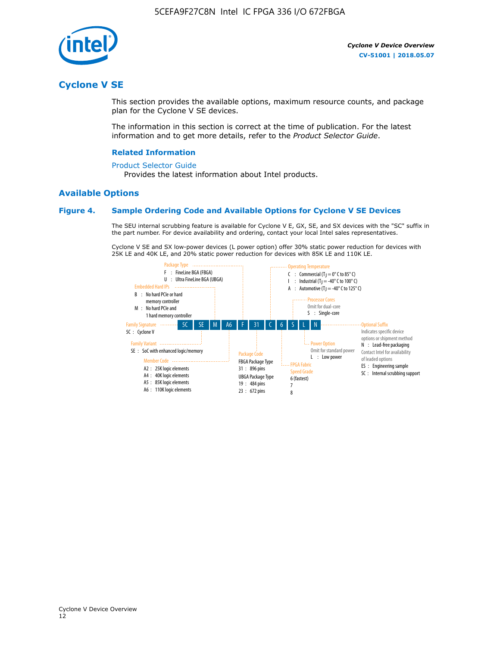

# **Cyclone V SE**

This section provides the available options, maximum resource counts, and package plan for the Cyclone V SE devices.

The information in this section is correct at the time of publication. For the latest information and to get more details, refer to the *Product Selector Guide*.

#### **Related Information**

#### [Product Selector Guide](https://www.altera.com/products/product-selector-guide.html)

Provides the latest information about Intel products.

#### **Available Options**

#### **Figure 4. Sample Ordering Code and Available Options for Cyclone V SE Devices**

The SEU internal scrubbing feature is available for Cyclone V E, GX, SE, and SX devices with the "SC" suffix in the part number. For device availability and ordering, contact your local Intel sales representatives.

Cyclone V SE and SX low-power devices (L power option) offer 30% static power reduction for devices with 25K LE and 40K LE, and 20% static power reduction for devices with 85K LE and 110K LE.

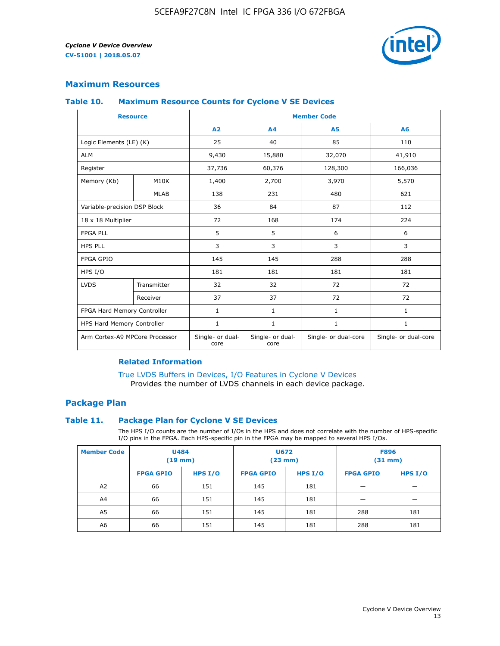

## **Maximum Resources**

#### **Table 10. Maximum Resource Counts for Cyclone V SE Devices**

|                                | <b>Resource</b> | <b>Member Code</b>       |                          |                      |                      |  |
|--------------------------------|-----------------|--------------------------|--------------------------|----------------------|----------------------|--|
|                                |                 | A <sub>2</sub>           | A <sub>4</sub>           | <b>A5</b>            | A6                   |  |
| Logic Elements (LE) (K)        |                 | 25                       | 40                       | 85                   | 110                  |  |
| <b>ALM</b>                     |                 | 9,430                    | 15,880                   | 32,070               | 41,910               |  |
| Register                       |                 | 37,736                   | 60,376                   | 128,300              | 166,036              |  |
| Memory (Kb)                    | M10K            | 1,400                    | 2,700                    | 3,970                | 5,570                |  |
|                                | <b>MLAB</b>     | 138                      | 231                      | 480                  | 621                  |  |
| Variable-precision DSP Block   |                 | 36                       | 84                       | 87                   | 112                  |  |
| 18 x 18 Multiplier             |                 | 72                       | 168                      | 174                  | 224                  |  |
| <b>FPGA PLL</b>                |                 | 5                        | 5                        | 6                    | 6                    |  |
| <b>HPS PLL</b>                 |                 | 3                        | 3                        | 3                    | 3                    |  |
| <b>FPGA GPIO</b>               |                 | 145                      | 145                      | 288                  | 288                  |  |
| HPS I/O                        |                 | 181                      | 181                      | 181                  | 181                  |  |
| <b>LVDS</b>                    | Transmitter     | 32                       | 32                       | 72                   | 72                   |  |
|                                | Receiver        | 37                       | 37                       | 72                   | 72                   |  |
| FPGA Hard Memory Controller    |                 | 1                        | $\mathbf{1}$             | $\mathbf{1}$         | $\mathbf{1}$         |  |
| HPS Hard Memory Controller     |                 | $\mathbf{1}$             | $\mathbf{1}$             | $\mathbf{1}$         | $\mathbf{1}$         |  |
| Arm Cortex-A9 MPCore Processor |                 | Single- or dual-<br>core | Single- or dual-<br>core | Single- or dual-core | Single- or dual-core |  |

#### **Related Information**

[True LVDS Buffers in Devices, I/O Features in Cyclone V Devices](https://www.altera.com/documentation/sam1403481100977.html#sam1403480885395) Provides the number of LVDS channels in each device package.

## **Package Plan**

#### **Table 11. Package Plan for Cyclone V SE Devices**

The HPS I/O counts are the number of I/Os in the HPS and does not correlate with the number of HPS-specific I/O pins in the FPGA. Each HPS-specific pin in the FPGA may be mapped to several HPS I/Os.

| <b>Member Code</b> | <b>U484</b><br>$(19$ mm) |           | U672<br>(23 mm)  |           | <b>F896</b><br>$(31$ mm $)$ |           |
|--------------------|--------------------------|-----------|------------------|-----------|-----------------------------|-----------|
|                    | <b>FPGA GPIO</b>         | HPS $I/O$ | <b>FPGA GPIO</b> | HPS $I/O$ | <b>FPGA GPIO</b>            | HPS $I/O$ |
| A <sub>2</sub>     | 66                       | 151       | 145              | 181       |                             |           |
| A4                 | 66                       | 151       | 145              | 181       |                             |           |
| A <sub>5</sub>     | 66                       | 151       | 145              | 181       | 288                         | 181       |
| A6                 | 66                       | 151       | 145              | 181       | 288                         | 181       |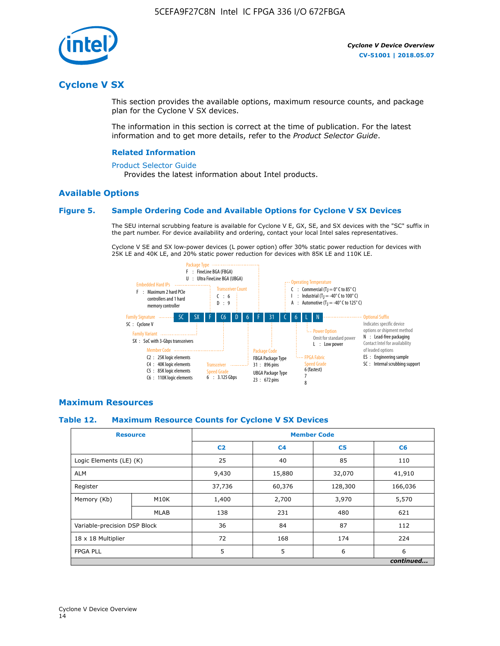

# **Cyclone V SX**

This section provides the available options, maximum resource counts, and package plan for the Cyclone V SX devices.

The information in this section is correct at the time of publication. For the latest information and to get more details, refer to the *Product Selector Guide*.

#### **Related Information**

#### [Product Selector Guide](https://www.altera.com/products/product-selector-guide.html)

Provides the latest information about Intel products.

## **Available Options**

#### **Figure 5. Sample Ordering Code and Available Options for Cyclone V SX Devices**

The SEU internal scrubbing feature is available for Cyclone V E, GX, SE, and SX devices with the "SC" suffix in the part number. For device availability and ordering, contact your local Intel sales representatives.

Cyclone V SE and SX low-power devices (L power option) offer 30% static power reduction for devices with 25K LE and 40K LE, and 20% static power reduction for devices with 85K LE and 110K LE.



#### **Maximum Resources**

#### **Table 12. Maximum Resource Counts for Cyclone V SX Devices**

|                              | <b>Resource</b> | <b>Member Code</b> |                |                |           |  |
|------------------------------|-----------------|--------------------|----------------|----------------|-----------|--|
|                              |                 | C <sub>2</sub>     | C <sub>4</sub> | C <sub>5</sub> | C6        |  |
| Logic Elements (LE) (K)      |                 | 25                 | 40             | 85             | 110       |  |
| <b>ALM</b>                   |                 | 9,430              | 15,880         | 32,070         | 41,910    |  |
| Register                     |                 | 37,736             | 60,376         | 128,300        | 166,036   |  |
| Memory (Kb)                  | M10K            | 1,400              | 2,700          | 3,970          | 5,570     |  |
|                              | <b>MLAB</b>     | 138                | 231            | 480            | 621       |  |
| Variable-precision DSP Block |                 | 36                 | 84             | 87             | 112       |  |
| 18 x 18 Multiplier           |                 | 72                 | 168            | 174            | 224       |  |
| <b>FPGA PLL</b>              |                 | 5                  | 5              | 6              | 6         |  |
|                              |                 |                    |                |                | continued |  |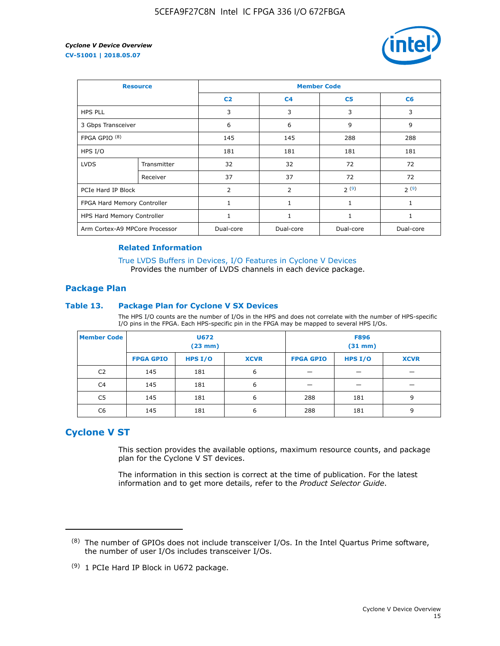

| <b>Resource</b>                |             | <b>Member Code</b> |                |                |           |  |  |
|--------------------------------|-------------|--------------------|----------------|----------------|-----------|--|--|
|                                |             | C <sub>2</sub>     | C <sub>4</sub> | C <sub>5</sub> | C6        |  |  |
| <b>HPS PLL</b>                 |             | 3                  | 3              | 3              | 3         |  |  |
| 3 Gbps Transceiver             |             | 6                  | 6              | 9              | 9         |  |  |
| FPGA GPIO $(8)$                |             | 145                | 145            | 288            | 288       |  |  |
| HPS I/O                        |             | 181                | 181            | 181            | 181       |  |  |
| <b>LVDS</b>                    | Transmitter | 32                 | 32             | 72             | 72        |  |  |
|                                | Receiver    | 37                 | 37             | 72             | 72        |  |  |
| PCIe Hard IP Block             |             | $\overline{2}$     | $\overline{2}$ | 2(9)           | 2(9)      |  |  |
| FPGA Hard Memory Controller    |             | 1                  | $\mathbf{1}$   | 1              | 1         |  |  |
| HPS Hard Memory Controller     |             | 1                  | 1              | $\mathbf{1}$   | 1         |  |  |
| Arm Cortex-A9 MPCore Processor |             | Dual-core          | Dual-core      | Dual-core      | Dual-core |  |  |

#### **Related Information**

[True LVDS Buffers in Devices, I/O Features in Cyclone V Devices](https://www.altera.com/documentation/sam1403481100977.html#sam1403480885395) Provides the number of LVDS channels in each device package.

#### **Package Plan**

#### **Table 13. Package Plan for Cyclone V SX Devices**

The HPS I/O counts are the number of I/Os in the HPS and does not correlate with the number of HPS-specific I/O pins in the FPGA. Each HPS-specific pin in the FPGA may be mapped to several HPS I/Os.

| <b>Member Code</b> | U672<br>(23 mm)  |           | <b>F896</b><br>$(31$ mm $)$ |                  |         |             |
|--------------------|------------------|-----------|-----------------------------|------------------|---------|-------------|
|                    | <b>FPGA GPIO</b> | HPS $I/O$ | <b>XCVR</b>                 | <b>FPGA GPIO</b> | HPS I/O | <b>XCVR</b> |
| C <sub>2</sub>     | 145              | 181       | 6                           |                  |         |             |
| C4                 | 145              | 181       | 6                           |                  |         |             |
| C <sub>5</sub>     | 145              | 181       | 6                           | 288              | 181     | 9           |
| C6                 | 145              | 181       | 6                           | 288              | 181     | 9           |

# **Cyclone V ST**

This section provides the available options, maximum resource counts, and package plan for the Cyclone V ST devices.

The information in this section is correct at the time of publication. For the latest information and to get more details, refer to the *Product Selector Guide*.

 $(8)$  The number of GPIOs does not include transceiver I/Os. In the Intel Quartus Prime software, the number of user I/Os includes transceiver I/Os.

<sup>(9)</sup> 1 PCIe Hard IP Block in U672 package.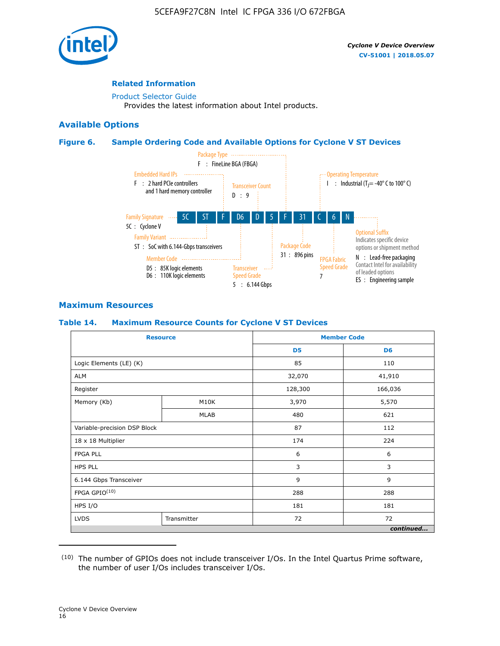

#### **Related Information**

[Product Selector Guide](https://www.altera.com/products/product-selector-guide.html) Provides the latest information about Intel products.

#### **Available Options**

#### **Figure 6. Sample Ordering Code and Available Options for Cyclone V ST Devices**



## **Maximum Resources**

#### **Table 14. Maximum Resource Counts for Cyclone V ST Devices**

| <b>Resource</b>              |             |                | <b>Member Code</b> |
|------------------------------|-------------|----------------|--------------------|
|                              |             | D <sub>5</sub> | D <sub>6</sub>     |
| Logic Elements (LE) (K)      |             | 85             | 110                |
| <b>ALM</b>                   |             | 32,070         | 41,910             |
| Register                     |             | 128,300        | 166,036            |
| Memory (Kb)                  | M10K        | 3,970          | 5,570              |
|                              | <b>MLAB</b> | 480            | 621                |
| Variable-precision DSP Block |             | 87             | 112                |
| 18 x 18 Multiplier           |             | 174            | 224                |
| <b>FPGA PLL</b>              |             | 6              | 6                  |
| <b>HPS PLL</b>               |             | 3              | 3                  |
| 6.144 Gbps Transceiver       |             | 9              | 9                  |
| FPGA GPIO(10)                |             | 288            | 288                |
| HPS I/O                      |             | 181            | 181                |
| <b>LVDS</b>                  | Transmitter |                | 72                 |
|                              |             |                | continued          |

<sup>(10)</sup> The number of GPIOs does not include transceiver I/Os. In the Intel Quartus Prime software, the number of user I/Os includes transceiver I/Os.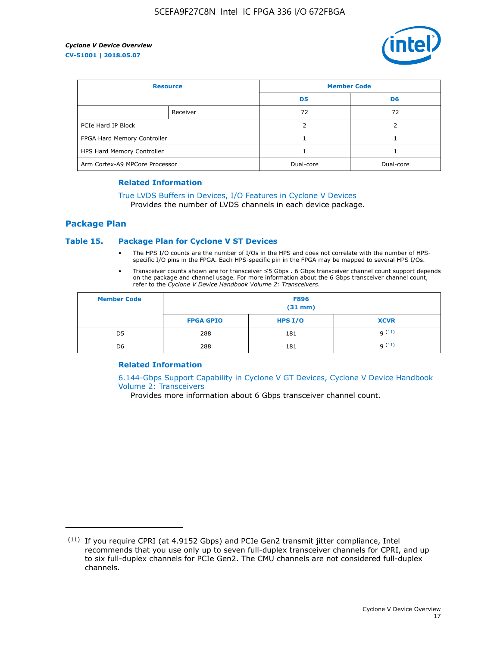

| <b>Resource</b>                |          | <b>Member Code</b> |                |  |
|--------------------------------|----------|--------------------|----------------|--|
|                                |          | D <sub>5</sub>     | D <sub>6</sub> |  |
|                                | Receiver | 72                 | 72             |  |
| PCIe Hard IP Block             |          |                    |                |  |
| FPGA Hard Memory Controller    |          |                    |                |  |
| HPS Hard Memory Controller     |          |                    |                |  |
| Arm Cortex-A9 MPCore Processor |          | Dual-core          | Dual-core      |  |

#### **Related Information**

# [True LVDS Buffers in Devices, I/O Features in Cyclone V Devices](https://www.altera.com/documentation/sam1403481100977.html#sam1403480885395)

Provides the number of LVDS channels in each device package.

#### **Package Plan**

#### **Table 15. Package Plan for Cyclone V ST Devices**

- The HPS I/O counts are the number of I/Os in the HPS and does not correlate with the number of HPSspecific I/O pins in the FPGA. Each HPS-specific pin in the FPGA may be mapped to several HPS I/Os.
- Transceiver counts shown are for transceiver ≤5 Gbps . 6 Gbps transceiver channel count support depends on the package and channel usage. For more information about the 6 Gbps transceiver channel count, refer to the *Cyclone V Device Handbook Volume 2: Transceivers*.

| <b>Member Code</b> | <b>F896</b><br>$(31$ mm $)$ |           |             |  |  |
|--------------------|-----------------------------|-----------|-------------|--|--|
|                    | <b>FPGA GPIO</b>            | HPS $I/O$ | <b>XCVR</b> |  |  |
| D <sub>5</sub>     | 288                         | 181       | 9(11)       |  |  |
| D <sub>6</sub>     | 288                         | 181       | q(11)       |  |  |

#### **Related Information**

[6.144-Gbps Support Capability in Cyclone V GT Devices, Cyclone V Device Handbook](https://www.altera.com/documentation/nik1409855456781.html#nik1409855410757) [Volume 2: Transceivers](https://www.altera.com/documentation/nik1409855456781.html#nik1409855410757)

Provides more information about 6 Gbps transceiver channel count.

<sup>(11)</sup> If you require CPRI (at 4.9152 Gbps) and PCIe Gen2 transmit jitter compliance, Intel recommends that you use only up to seven full-duplex transceiver channels for CPRI, and up to six full-duplex channels for PCIe Gen2. The CMU channels are not considered full-duplex channels.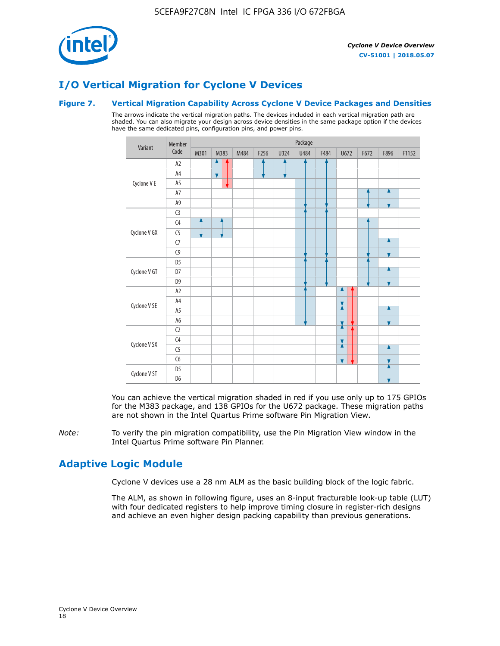

# **I/O Vertical Migration for Cyclone V Devices**

#### **Figure 7. Vertical Migration Capability Across Cyclone V Device Packages and Densities**

The arrows indicate the vertical migration paths. The devices included in each vertical migration path are shaded. You can also migrate your design across device densities in the same package option if the devices have the same dedicated pins, configuration pins, and power pins.



You can achieve the vertical migration shaded in red if you use only up to 175 GPIOs for the M383 package, and 138 GPIOs for the U672 package. These migration paths are not shown in the Intel Quartus Prime software Pin Migration View.

*Note:* To verify the pin migration compatibility, use the Pin Migration View window in the Intel Quartus Prime software Pin Planner.

# **Adaptive Logic Module**

Cyclone V devices use a 28 nm ALM as the basic building block of the logic fabric.

The ALM, as shown in following figure, uses an 8-input fracturable look-up table (LUT) with four dedicated registers to help improve timing closure in register-rich designs and achieve an even higher design packing capability than previous generations.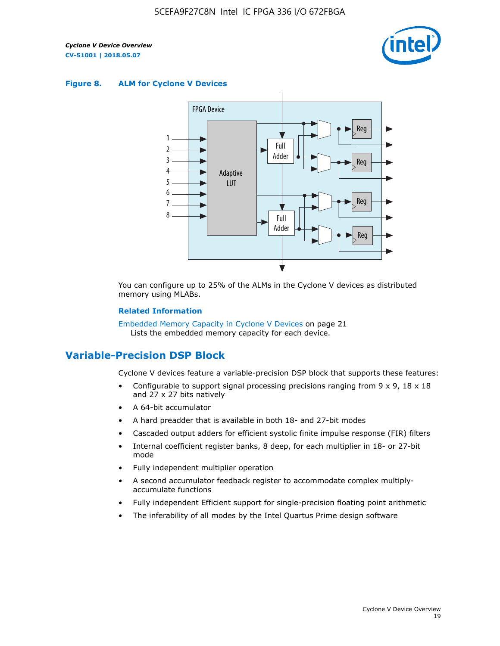

#### **Figure 8. ALM for Cyclone V Devices**



You can configure up to 25% of the ALMs in the Cyclone V devices as distributed memory using MLABs.

#### **Related Information**

Embedded Memory Capacity in Cyclone V Devices on page 21 Lists the embedded memory capacity for each device.

# **Variable-Precision DSP Block**

Cyclone V devices feature a variable-precision DSP block that supports these features:

- Configurable to support signal processing precisions ranging from  $9 \times 9$ ,  $18 \times 18$ and 27 x 27 bits natively
- A 64-bit accumulator
- A hard preadder that is available in both 18- and 27-bit modes
- Cascaded output adders for efficient systolic finite impulse response (FIR) filters
- Internal coefficient register banks, 8 deep, for each multiplier in 18- or 27-bit mode
- Fully independent multiplier operation
- A second accumulator feedback register to accommodate complex multiplyaccumulate functions
- Fully independent Efficient support for single-precision floating point arithmetic
- The inferability of all modes by the Intel Quartus Prime design software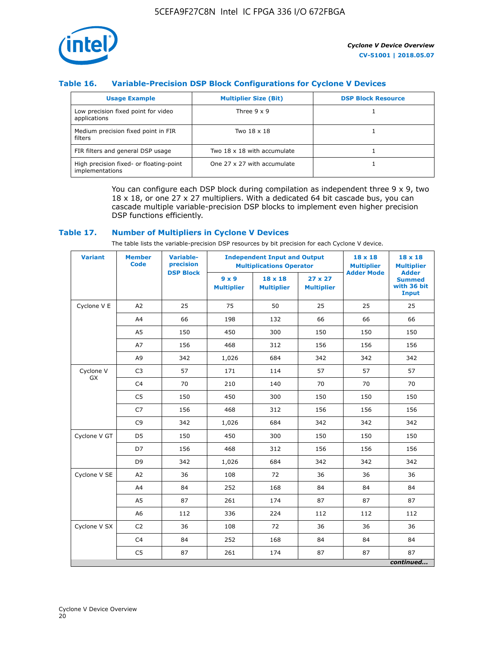

## **Table 16. Variable-Precision DSP Block Configurations for Cyclone V Devices**

| <b>Usage Example</b>                                       | <b>Multiplier Size (Bit)</b> | <b>DSP Block Resource</b> |
|------------------------------------------------------------|------------------------------|---------------------------|
| Low precision fixed point for video<br>applications        | Three $9 \times 9$           |                           |
| Medium precision fixed point in FIR<br>filters             | Two 18 x 18                  |                           |
| FIR filters and general DSP usage                          | Two 18 x 18 with accumulate  |                           |
| High precision fixed- or floating-point<br>implementations | One 27 x 27 with accumulate  |                           |

You can configure each DSP block during compilation as independent three  $9 \times 9$ , two 18 x 18, or one 27 x 27 multipliers. With a dedicated 64 bit cascade bus, you can cascade multiple variable-precision DSP blocks to implement even higher precision DSP functions efficiently.

#### **Table 17. Number of Multipliers in Cyclone V Devices**

The table lists the variable-precision DSP resources by bit precision for each Cyclone V device.

| <b>Variant</b>  | <b>Member</b><br><b>Code</b> | <b>Variable-</b><br>precision |                                   | <b>Independent Input and Output</b><br><b>Multiplications Operator</b> | $18 \times 18$<br><b>Multiplier</b> | $18 \times 18$<br><b>Multiplier</b> |                                                              |
|-----------------|------------------------------|-------------------------------|-----------------------------------|------------------------------------------------------------------------|-------------------------------------|-------------------------------------|--------------------------------------------------------------|
|                 |                              | <b>DSP Block</b>              | $9 \times 9$<br><b>Multiplier</b> | $18 \times 18$<br><b>Multiplier</b>                                    | $27 \times 27$<br><b>Multiplier</b> | <b>Adder Mode</b>                   | <b>Adder</b><br><b>Summed</b><br>with 36 bit<br><b>Input</b> |
| Cyclone V E     | A2                           | 25                            | 75                                | 50                                                                     | 25                                  | 25                                  | 25                                                           |
|                 | A4                           | 66                            | 198                               | 132                                                                    | 66                                  | 66                                  | 66                                                           |
|                 | A5                           | 150                           | 450                               | 300                                                                    | 150                                 | 150                                 | 150                                                          |
|                 | A7                           | 156                           | 468                               | 312                                                                    | 156                                 | 156                                 | 156                                                          |
|                 | A9                           | 342                           | 1,026                             | 684                                                                    | 342                                 | 342                                 | 342                                                          |
| Cyclone V<br>GX | C <sub>3</sub>               | 57                            | 171                               | 114                                                                    | 57                                  | 57                                  | 57                                                           |
|                 | C <sub>4</sub>               | 70                            | 210                               | 140                                                                    | 70                                  | 70                                  | 70                                                           |
|                 | C <sub>5</sub>               | 150                           | 450                               | 300                                                                    | 150                                 | 150                                 | 150                                                          |
|                 | C7                           | 156                           | 468                               | 312                                                                    | 156                                 | 156                                 | 156                                                          |
|                 | C <sub>9</sub>               | 342                           | 1,026                             | 684                                                                    | 342                                 | 342                                 | 342                                                          |
| Cyclone V GT    | D <sub>5</sub>               | 150                           | 450                               | 300                                                                    | 150                                 | 150                                 | 150                                                          |
|                 | D7                           | 156                           | 468                               | 312                                                                    | 156                                 | 156                                 | 156                                                          |
|                 | D <sub>9</sub>               | 342                           | 1,026                             | 684                                                                    | 342                                 | 342                                 | 342                                                          |
| Cyclone V SE    | A <sub>2</sub>               | 36                            | 108                               | 72                                                                     | 36                                  | 36                                  | 36                                                           |
|                 | A4                           | 84                            | 252                               | 168                                                                    | 84                                  | 84                                  | 84                                                           |
|                 | A5                           | 87                            | 261                               | 174                                                                    | 87                                  | 87                                  | 87                                                           |
|                 | A <sub>6</sub>               | 112                           | 336                               | 224                                                                    | 112                                 | 112                                 | 112                                                          |
| Cyclone V SX    | C <sub>2</sub>               | 36                            | 108                               | 72                                                                     | 36                                  | 36                                  | 36                                                           |
|                 | C <sub>4</sub>               | 84                            | 252                               | 168                                                                    | 84                                  | 84                                  | 84                                                           |
|                 | C <sub>5</sub>               | 87                            | 261                               | 174                                                                    | 87                                  | 87                                  | 87                                                           |
|                 |                              |                               |                                   |                                                                        |                                     |                                     | continued                                                    |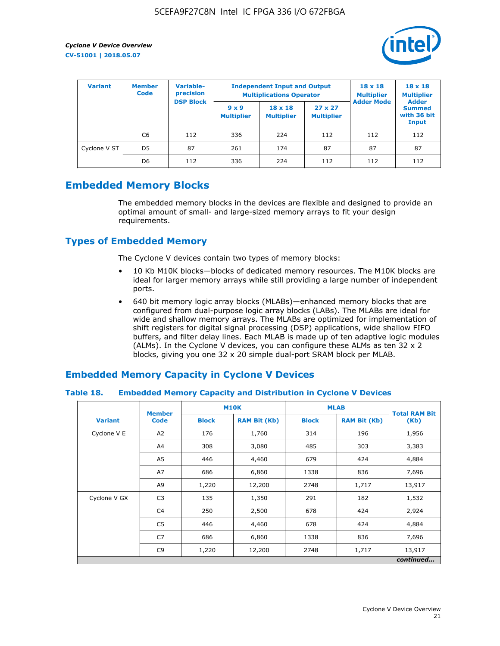

| <b>Variant</b> | <b>Variable-</b><br><b>Member</b><br>precision<br><b>Code</b> |                  | <b>Independent Input and Output</b><br><b>Multiplications Operator</b> | $18 \times 18$<br><b>Multiplier</b> | $18 \times 18$<br><b>Multiplier</b><br><b>Adder</b> |                   |                                       |
|----------------|---------------------------------------------------------------|------------------|------------------------------------------------------------------------|-------------------------------------|-----------------------------------------------------|-------------------|---------------------------------------|
|                |                                                               | <b>DSP Block</b> | $9 \times 9$<br><b>Multiplier</b>                                      | $18 \times 18$<br><b>Multiplier</b> | $27 \times 27$<br><b>Multiplier</b>                 | <b>Adder Mode</b> | <b>Summed</b><br>with 36 bit<br>Input |
|                | C6                                                            | 112              | 336                                                                    | 224                                 | 112                                                 | 112               | 112                                   |
| Cyclone V ST   | D <sub>5</sub>                                                | 87               | 261                                                                    | 174                                 | 87                                                  | 87                | 87                                    |
|                | D <sub>6</sub>                                                | 112              | 336                                                                    | 224                                 | 112                                                 | 112               | 112                                   |

# **Embedded Memory Blocks**

The embedded memory blocks in the devices are flexible and designed to provide an optimal amount of small- and large-sized memory arrays to fit your design requirements.

# **Types of Embedded Memory**

The Cyclone V devices contain two types of memory blocks:

- 10 Kb M10K blocks—blocks of dedicated memory resources. The M10K blocks are ideal for larger memory arrays while still providing a large number of independent ports.
- 640 bit memory logic array blocks (MLABs)—enhanced memory blocks that are configured from dual-purpose logic array blocks (LABs). The MLABs are ideal for wide and shallow memory arrays. The MLABs are optimized for implementation of shift registers for digital signal processing (DSP) applications, wide shallow FIFO buffers, and filter delay lines. Each MLAB is made up of ten adaptive logic modules (ALMs). In the Cyclone V devices, you can configure these ALMs as ten 32 x 2 blocks, giving you one 32 x 20 simple dual-port SRAM block per MLAB.

# **Embedded Memory Capacity in Cyclone V Devices**

#### **Table 18. Embedded Memory Capacity and Distribution in Cyclone V Devices**

|                | <b>Member</b>  | <b>M10K</b>  |                     | <b>MLAB</b>  | <b>Total RAM Bit</b> |        |  |  |  |
|----------------|----------------|--------------|---------------------|--------------|----------------------|--------|--|--|--|
| <b>Variant</b> | <b>Code</b>    | <b>Block</b> | <b>RAM Bit (Kb)</b> | <b>Block</b> | <b>RAM Bit (Kb)</b>  | (Kb)   |  |  |  |
| Cyclone V E    | A2             | 176          | 1,760               | 314          | 196                  | 1,956  |  |  |  |
|                | A4             | 308          | 3,080               | 485          | 303                  | 3,383  |  |  |  |
|                | A5             | 446          | 4,460               | 679          | 424                  | 4,884  |  |  |  |
|                | A7             | 686          | 6,860               | 1338         | 836                  | 7,696  |  |  |  |
|                | A9             | 1,220        | 12,200              | 2748         | 1,717                | 13,917 |  |  |  |
| Cyclone V GX   | C <sub>3</sub> | 135          | 1,350               | 291          | 182                  | 1,532  |  |  |  |
|                | C4             | 250          | 2,500               | 678          | 424                  | 2,924  |  |  |  |
|                | C5             | 446          | 4,460               | 678          | 424                  | 4,884  |  |  |  |
|                | C7             | 686          | 6,860               | 1338         | 836                  | 7,696  |  |  |  |
|                | C <sub>9</sub> | 1,220        | 12,200              | 2748         | 1,717                | 13,917 |  |  |  |
|                | continued      |              |                     |              |                      |        |  |  |  |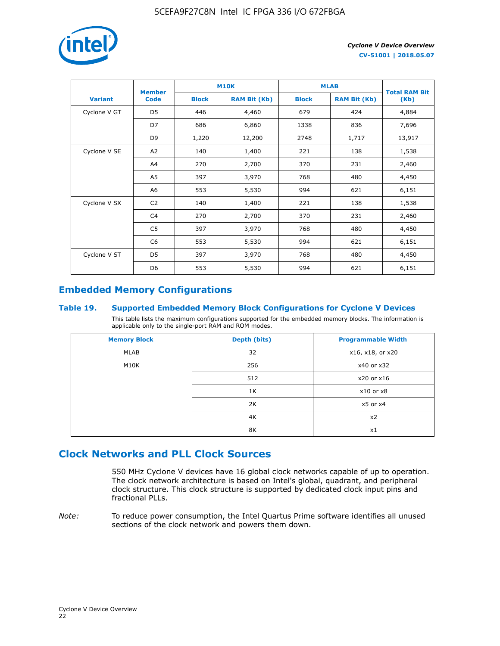

|                | <b>Member</b>  | <b>M10K</b>  |                     | <b>MLAB</b>  | <b>Total RAM Bit</b> |        |
|----------------|----------------|--------------|---------------------|--------------|----------------------|--------|
| <b>Variant</b> | <b>Code</b>    | <b>Block</b> | <b>RAM Bit (Kb)</b> | <b>Block</b> | <b>RAM Bit (Kb)</b>  | (Kb)   |
| Cyclone V GT   | D <sub>5</sub> | 446          | 4,460               | 679          | 424                  | 4,884  |
|                | D7             | 686          | 6,860               | 1338         | 836                  | 7,696  |
|                | D <sub>9</sub> | 1,220        | 12,200              | 2748         | 1,717                | 13,917 |
| Cyclone V SE   | A <sub>2</sub> | 140          | 1,400               | 221          | 138                  | 1,538  |
|                | A4             | 270          | 2,700               | 370          | 231                  | 2,460  |
|                | A5             | 397          | 3,970               | 768          | 480                  | 4,450  |
|                | A <sub>6</sub> | 553          | 5,530               | 994          | 621                  | 6,151  |
| Cyclone V SX   | C <sub>2</sub> | 140          | 1,400               | 221          | 138                  | 1,538  |
|                | C <sub>4</sub> | 270          | 2,700               | 370          | 231                  | 2,460  |
|                | C <sub>5</sub> | 397          | 3,970               | 768          | 480                  | 4,450  |
|                | C <sub>6</sub> | 553          | 5,530               | 994          | 621                  | 6,151  |
| Cyclone V ST   | D <sub>5</sub> | 397          | 3,970               | 768          | 480                  | 4,450  |
|                | D <sub>6</sub> | 553          | 5,530               | 994          | 621                  | 6,151  |

# **Embedded Memory Configurations**

#### **Table 19. Supported Embedded Memory Block Configurations for Cyclone V Devices**

This table lists the maximum configurations supported for the embedded memory blocks. The information is applicable only to the single-port RAM and ROM modes.

| <b>Memory Block</b> | Depth (bits) | <b>Programmable Width</b> |
|---------------------|--------------|---------------------------|
| MLAB                | 32           | x16, x18, or x20          |
| M10K                | 256          | x40 or x32                |
|                     | 512          | x20 or x16                |
|                     | 1K           | $x10$ or $x8$             |
|                     | 2K           | $x5$ or $x4$              |
|                     | 4K           | x2                        |
|                     | 8K           | x1                        |

# **Clock Networks and PLL Clock Sources**

550 MHz Cyclone V devices have 16 global clock networks capable of up to operation. The clock network architecture is based on Intel's global, quadrant, and peripheral clock structure. This clock structure is supported by dedicated clock input pins and fractional PLLs.

*Note:* To reduce power consumption, the Intel Quartus Prime software identifies all unused sections of the clock network and powers them down.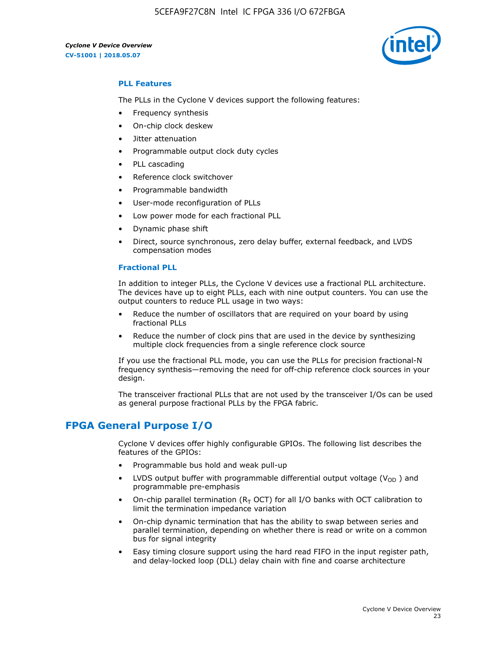5CEFA9F27C8N Intel IC FPGA 336 I/O 672FBGA



## **PLL Features**

The PLLs in the Cyclone V devices support the following features:

- Frequency synthesis
- On-chip clock deskew
- Jitter attenuation
- Programmable output clock duty cycles
- PLL cascading
- Reference clock switchover
- Programmable bandwidth
- User-mode reconfiguration of PLLs
- Low power mode for each fractional PLL
- Dynamic phase shift
- Direct, source synchronous, zero delay buffer, external feedback, and LVDS compensation modes

#### **Fractional PLL**

In addition to integer PLLs, the Cyclone V devices use a fractional PLL architecture. The devices have up to eight PLLs, each with nine output counters. You can use the output counters to reduce PLL usage in two ways:

- Reduce the number of oscillators that are required on your board by using fractional PLLs
- Reduce the number of clock pins that are used in the device by synthesizing multiple clock frequencies from a single reference clock source

If you use the fractional PLL mode, you can use the PLLs for precision fractional-N frequency synthesis—removing the need for off-chip reference clock sources in your design.

The transceiver fractional PLLs that are not used by the transceiver I/Os can be used as general purpose fractional PLLs by the FPGA fabric.

# **FPGA General Purpose I/O**

Cyclone V devices offer highly configurable GPIOs. The following list describes the features of the GPIOs:

- Programmable bus hold and weak pull-up
- LVDS output buffer with programmable differential output voltage ( $V_{OD}$ ) and programmable pre-emphasis
- On-chip parallel termination ( $R<sub>T</sub>$  OCT) for all I/O banks with OCT calibration to limit the termination impedance variation
- On-chip dynamic termination that has the ability to swap between series and parallel termination, depending on whether there is read or write on a common bus for signal integrity
- Easy timing closure support using the hard read FIFO in the input register path, and delay-locked loop (DLL) delay chain with fine and coarse architecture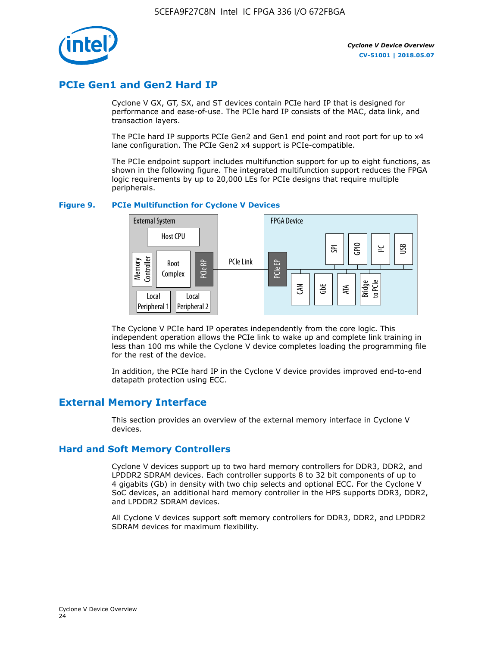

# **PCIe Gen1 and Gen2 Hard IP**

Cyclone V GX, GT, SX, and ST devices contain PCIe hard IP that is designed for performance and ease-of-use. The PCIe hard IP consists of the MAC, data link, and transaction layers.

The PCIe hard IP supports PCIe Gen2 and Gen1 end point and root port for up to x4 lane configuration. The PCIe Gen2 x4 support is PCIe-compatible.

The PCIe endpoint support includes multifunction support for up to eight functions, as shown in the following figure. The integrated multifunction support reduces the FPGA logic requirements by up to 20,000 LEs for PCIe designs that require multiple peripherals.

#### **Figure 9. PCIe Multifunction for Cyclone V Devices**



The Cyclone V PCIe hard IP operates independently from the core logic. This independent operation allows the PCIe link to wake up and complete link training in less than 100 ms while the Cyclone V device completes loading the programming file for the rest of the device.

In addition, the PCIe hard IP in the Cyclone V device provides improved end-to-end datapath protection using ECC.

# **External Memory Interface**

This section provides an overview of the external memory interface in Cyclone V devices.

## **Hard and Soft Memory Controllers**

Cyclone V devices support up to two hard memory controllers for DDR3, DDR2, and LPDDR2 SDRAM devices. Each controller supports 8 to 32 bit components of up to 4 gigabits (Gb) in density with two chip selects and optional ECC. For the Cyclone V SoC devices, an additional hard memory controller in the HPS supports DDR3, DDR2, and LPDDR2 SDRAM devices.

All Cyclone V devices support soft memory controllers for DDR3, DDR2, and LPDDR2 SDRAM devices for maximum flexibility.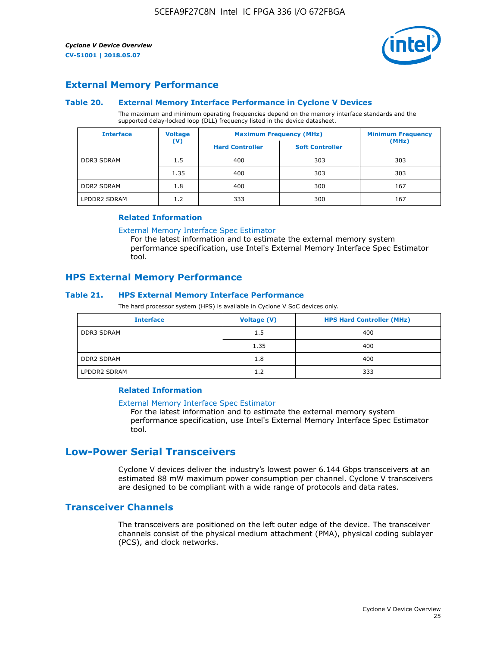

## **External Memory Performance**

#### **Table 20. External Memory Interface Performance in Cyclone V Devices**

The maximum and minimum operating frequencies depend on the memory interface standards and the supported delay-locked loop (DLL) frequency listed in the device datasheet.

| <b>Interface</b>  | <b>Voltage</b> | <b>Maximum Frequency (MHz)</b> |                        | <b>Minimum Frequency</b> |  |  |
|-------------------|----------------|--------------------------------|------------------------|--------------------------|--|--|
|                   | $(\mathsf{V})$ | <b>Hard Controller</b>         | <b>Soft Controller</b> | (MHz)                    |  |  |
| <b>DDR3 SDRAM</b> | 1.5            | 400                            | 303                    | 303                      |  |  |
|                   | 1.35           | 400                            | 303                    | 303                      |  |  |
| <b>DDR2 SDRAM</b> | 1.8            | 400                            | 300                    | 167                      |  |  |
| LPDDR2 SDRAM      | 1.2            | 333                            | 300                    | 167                      |  |  |

#### **Related Information**

[External Memory Interface Spec Estimator](https://www.altera.com/solutions/technology/external-memory/spec-estimator.html)

For the latest information and to estimate the external memory system performance specification, use Intel's External Memory Interface Spec Estimator tool.

## **HPS External Memory Performance**

#### **Table 21. HPS External Memory Interface Performance**

The hard processor system (HPS) is available in Cyclone V SoC devices only.

| <b>Interface</b>  | Voltage (V) | <b>HPS Hard Controller (MHz)</b> |
|-------------------|-------------|----------------------------------|
| <b>DDR3 SDRAM</b> | 1.5         | 400                              |
|                   | 1.35        | 400                              |
| <b>DDR2 SDRAM</b> | 1.8         | 400                              |
| LPDDR2 SDRAM      | 1.2         | 333                              |

#### **Related Information**

#### [External Memory Interface Spec Estimator](https://www.altera.com/solutions/technology/external-memory/spec-estimator.html)

For the latest information and to estimate the external memory system performance specification, use Intel's External Memory Interface Spec Estimator tool.

# **Low-Power Serial Transceivers**

Cyclone V devices deliver the industry's lowest power 6.144 Gbps transceivers at an estimated 88 mW maximum power consumption per channel. Cyclone V transceivers are designed to be compliant with a wide range of protocols and data rates.

## **Transceiver Channels**

The transceivers are positioned on the left outer edge of the device. The transceiver channels consist of the physical medium attachment (PMA), physical coding sublayer (PCS), and clock networks.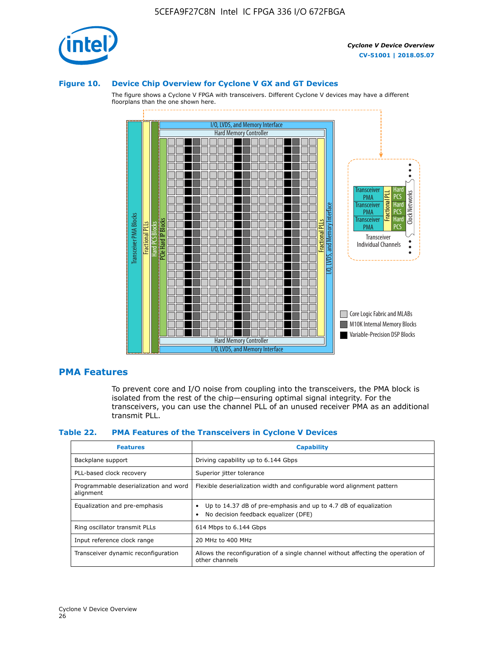

#### **Figure 10. Device Chip Overview for Cyclone V GX and GT Devices**

The figure shows a Cyclone V FPGA with transceivers. Different Cyclone V devices may have a different floorplans than the one shown here.



## **PMA Features**

To prevent core and I/O noise from coupling into the transceivers, the PMA block is isolated from the rest of the chip—ensuring optimal signal integrity. For the transceivers, you can use the channel PLL of an unused receiver PMA as an additional transmit PLL.

#### **Table 22. PMA Features of the Transceivers in Cyclone V Devices**

| <b>Features</b>                                    | <b>Capability</b>                                                                                       |
|----------------------------------------------------|---------------------------------------------------------------------------------------------------------|
| Backplane support                                  | Driving capability up to 6.144 Gbps                                                                     |
| PLL-based clock recovery                           | Superior jitter tolerance                                                                               |
| Programmable deserialization and word<br>alignment | Flexible deserialization width and configurable word alignment pattern                                  |
| Equalization and pre-emphasis                      | Up to 14.37 dB of pre-emphasis and up to 4.7 dB of equalization<br>No decision feedback equalizer (DFE) |
| Ring oscillator transmit PLLs                      | 614 Mbps to 6.144 Gbps                                                                                  |
| Input reference clock range                        | 20 MHz to 400 MHz                                                                                       |
| Transceiver dynamic reconfiguration                | Allows the reconfiguration of a single channel without affecting the operation of<br>other channels     |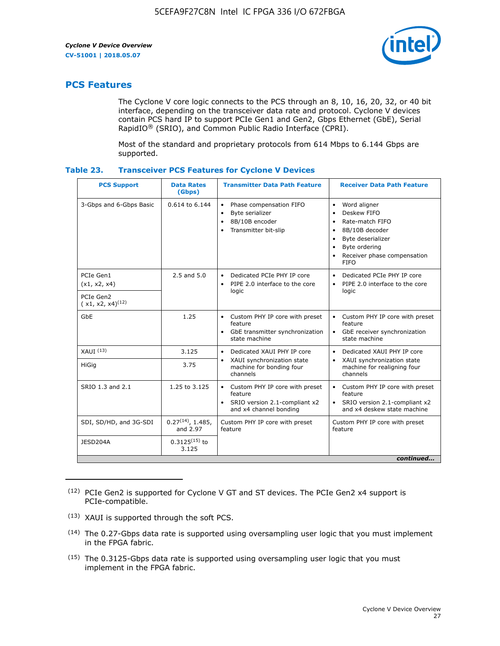

# **PCS Features**

The Cyclone V core logic connects to the PCS through an 8, 10, 16, 20, 32, or 40 bit interface, depending on the transceiver data rate and protocol. Cyclone V devices contain PCS hard IP to support PCIe Gen1 and Gen2, Gbps Ethernet (GbE), Serial RapidIO® (SRIO), and Common Public Radio Interface (CPRI).

Most of the standard and proprietary protocols from 614 Mbps to 6.144 Gbps are supported.

| Table 23. |  | <b>Transceiver PCS Features for Cyclone V Devices</b> |
|-----------|--|-------------------------------------------------------|
|           |  |                                                       |

| <b>PCS Support</b>                 | <b>Data Rates</b><br>(Gbps)        | <b>Transmitter Data Path Feature</b>                                                                         | <b>Receiver Data Path Feature</b>                                                                                                                                                                                                  |  |  |
|------------------------------------|------------------------------------|--------------------------------------------------------------------------------------------------------------|------------------------------------------------------------------------------------------------------------------------------------------------------------------------------------------------------------------------------------|--|--|
| 3-Gbps and 6-Gbps Basic            | 0.614 to 6.144                     | • Phase compensation FIFO<br>Byte serializer<br>8B/10B encoder<br>Transmitter bit-slip                       | Word aligner<br>$\bullet$<br>Deskew FIFO<br>$\bullet$<br>Rate-match FIFO<br>$\bullet$<br>8B/10B decoder<br>$\bullet$<br>Byte deserializer<br>$\bullet$<br>Byte ordering<br>$\bullet$<br>Receiver phase compensation<br><b>FIFO</b> |  |  |
| PCIe Gen1<br>(x1, x2, x4)          | $2.5$ and $5.0$                    | Dedicated PCIe PHY IP core<br>PIPE 2.0 interface to the core<br>$\bullet$<br>logic                           | Dedicated PCIe PHY IP core<br>$\bullet$<br>PIPE 2.0 interface to the core<br>$\bullet$<br>logic                                                                                                                                    |  |  |
| PCIe Gen2<br>$(x1, x2, x4)^{(12)}$ |                                    |                                                                                                              |                                                                                                                                                                                                                                    |  |  |
| GbE                                | 1.25                               | • Custom PHY IP core with preset<br>feature<br>GbE transmitter synchronization<br>$\bullet$<br>state machine | • Custom PHY IP core with preset<br>feature<br>GbE receiver synchronization<br>state machine                                                                                                                                       |  |  |
| $XAUI$ $(13)$                      | 3.125                              | Dedicated XAUI PHY IP core<br>$\bullet$                                                                      | Dedicated XAUI PHY IP core<br>$\bullet$                                                                                                                                                                                            |  |  |
| HiGig                              | 3.75                               | XAUI synchronization state<br>$\bullet$<br>machine for bonding four<br>channels                              | XAUI synchronization state<br>$\bullet$<br>machine for realigning four<br>channels                                                                                                                                                 |  |  |
| SRIO 1.3 and 2.1                   | 1.25 to 3.125                      | • Custom PHY IP core with preset<br>feature<br>• SRIO version 2.1-compliant x2<br>and x4 channel bonding     | • Custom PHY IP core with preset<br>feature<br>• SRIO version 2.1-compliant x2<br>and x4 deskew state machine                                                                                                                      |  |  |
| SDI, SD/HD, and 3G-SDI             | $0.27^{(14)}$ , 1.485,<br>and 2.97 | Custom PHY IP core with preset<br>feature                                                                    | Custom PHY IP core with preset<br>feature                                                                                                                                                                                          |  |  |
| JESD204A                           | $0.3125^{(15)}$ to<br>3.125        |                                                                                                              |                                                                                                                                                                                                                                    |  |  |
| continued                          |                                    |                                                                                                              |                                                                                                                                                                                                                                    |  |  |

<sup>(12)</sup> PCIe Gen2 is supported for Cyclone V GT and ST devices. The PCIe Gen2 x4 support is PCIe-compatible.

(15) The 0.3125-Gbps data rate is supported using oversampling user logic that you must implement in the FPGA fabric.

<sup>(13)</sup> XAUI is supported through the soft PCS.

<sup>(14)</sup> The 0.27-Gbps data rate is supported using oversampling user logic that you must implement in the FPGA fabric.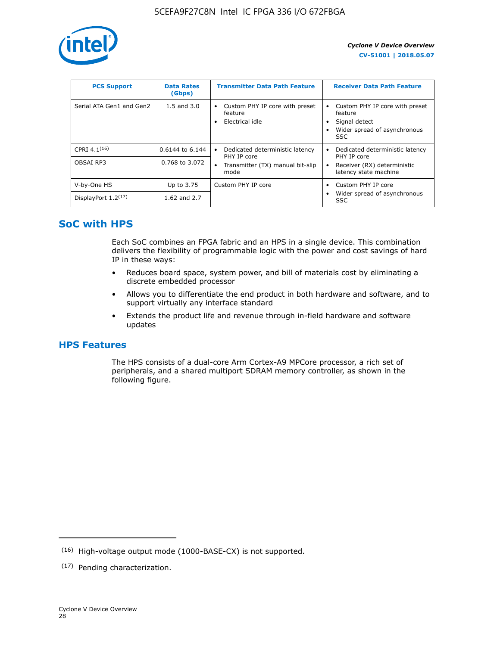

| <b>PCS Support</b>       | <b>Data Rates</b><br>(Gbps) | <b>Transmitter Data Path Feature</b>                         | <b>Receiver Data Path Feature</b>                                                                  |
|--------------------------|-----------------------------|--------------------------------------------------------------|----------------------------------------------------------------------------------------------------|
| Serial ATA Gen1 and Gen2 | $1.5$ and $3.0$             | Custom PHY IP core with preset<br>feature<br>Electrical idle | Custom PHY IP core with preset<br>feature<br>Signal detect<br>Wider spread of asynchronous<br>SSC. |
| CPRI $4.1^{(16)}$        | 0.6144 to 6.144             | Dedicated deterministic latency<br>$\bullet$<br>PHY IP core  | Dedicated deterministic latency<br>PHY IP core                                                     |
| OBSAI RP3                | 0.768 to 3.072              | Transmitter (TX) manual bit-slip<br>mode                     | Receiver (RX) deterministic<br>latency state machine                                               |
| V-by-One HS              | Up to 3.75                  | Custom PHY IP core                                           | Custom PHY IP core                                                                                 |
| DisplayPort $1.2^{(17)}$ | 1.62 and $2.7$              |                                                              | Wider spread of asynchronous<br><b>SSC</b>                                                         |

# **SoC with HPS**

Each SoC combines an FPGA fabric and an HPS in a single device. This combination delivers the flexibility of programmable logic with the power and cost savings of hard IP in these ways:

- Reduces board space, system power, and bill of materials cost by eliminating a discrete embedded processor
- Allows you to differentiate the end product in both hardware and software, and to support virtually any interface standard
- Extends the product life and revenue through in-field hardware and software updates

# **HPS Features**

The HPS consists of a dual-core Arm Cortex-A9 MPCore processor, a rich set of peripherals, and a shared multiport SDRAM memory controller, as shown in the following figure.

<sup>(16)</sup> High-voltage output mode (1000-BASE-CX) is not supported.

<sup>(17)</sup> Pending characterization.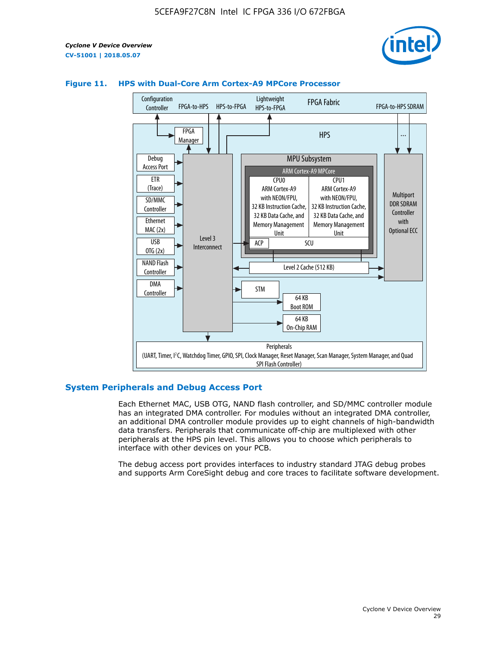



#### **Figure 11. HPS with Dual-Core Arm Cortex-A9 MPCore Processor**

#### **System Peripherals and Debug Access Port**

Each Ethernet MAC, USB OTG, NAND flash controller, and SD/MMC controller module has an integrated DMA controller. For modules without an integrated DMA controller, an additional DMA controller module provides up to eight channels of high-bandwidth data transfers. Peripherals that communicate off-chip are multiplexed with other peripherals at the HPS pin level. This allows you to choose which peripherals to interface with other devices on your PCB.

The debug access port provides interfaces to industry standard JTAG debug probes and supports Arm CoreSight debug and core traces to facilitate software development.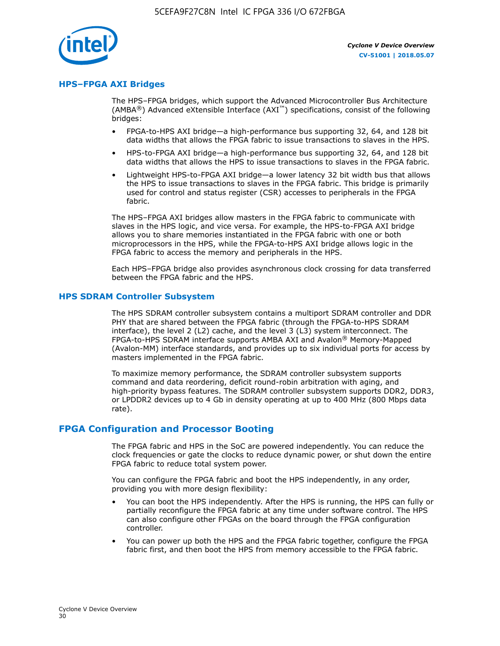

#### **HPS–FPGA AXI Bridges**

The HPS–FPGA bridges, which support the Advanced Microcontroller Bus Architecture (AMBA<sup>®</sup>) Advanced eXtensible Interface (AXI<sup>™</sup>) specifications, consist of the following bridges:

- FPGA-to-HPS AXI bridge—a high-performance bus supporting 32, 64, and 128 bit data widths that allows the FPGA fabric to issue transactions to slaves in the HPS.
- HPS-to-FPGA AXI bridge—a high-performance bus supporting 32, 64, and 128 bit data widths that allows the HPS to issue transactions to slaves in the FPGA fabric.
- Lightweight HPS-to-FPGA AXI bridge—a lower latency 32 bit width bus that allows the HPS to issue transactions to slaves in the FPGA fabric. This bridge is primarily used for control and status register (CSR) accesses to peripherals in the FPGA fabric.

The HPS–FPGA AXI bridges allow masters in the FPGA fabric to communicate with slaves in the HPS logic, and vice versa. For example, the HPS-to-FPGA AXI bridge allows you to share memories instantiated in the FPGA fabric with one or both microprocessors in the HPS, while the FPGA-to-HPS AXI bridge allows logic in the FPGA fabric to access the memory and peripherals in the HPS.

Each HPS–FPGA bridge also provides asynchronous clock crossing for data transferred between the FPGA fabric and the HPS.

#### **HPS SDRAM Controller Subsystem**

The HPS SDRAM controller subsystem contains a multiport SDRAM controller and DDR PHY that are shared between the FPGA fabric (through the FPGA-to-HPS SDRAM interface), the level 2 (L2) cache, and the level 3 (L3) system interconnect. The FPGA-to-HPS SDRAM interface supports AMBA AXI and Avalon® Memory-Mapped (Avalon-MM) interface standards, and provides up to six individual ports for access by masters implemented in the FPGA fabric.

To maximize memory performance, the SDRAM controller subsystem supports command and data reordering, deficit round-robin arbitration with aging, and high-priority bypass features. The SDRAM controller subsystem supports DDR2, DDR3, or LPDDR2 devices up to 4 Gb in density operating at up to 400 MHz (800 Mbps data rate).

#### **FPGA Configuration and Processor Booting**

The FPGA fabric and HPS in the SoC are powered independently. You can reduce the clock frequencies or gate the clocks to reduce dynamic power, or shut down the entire FPGA fabric to reduce total system power.

You can configure the FPGA fabric and boot the HPS independently, in any order, providing you with more design flexibility:

- You can boot the HPS independently. After the HPS is running, the HPS can fully or partially reconfigure the FPGA fabric at any time under software control. The HPS can also configure other FPGAs on the board through the FPGA configuration controller.
- You can power up both the HPS and the FPGA fabric together, configure the FPGA fabric first, and then boot the HPS from memory accessible to the FPGA fabric.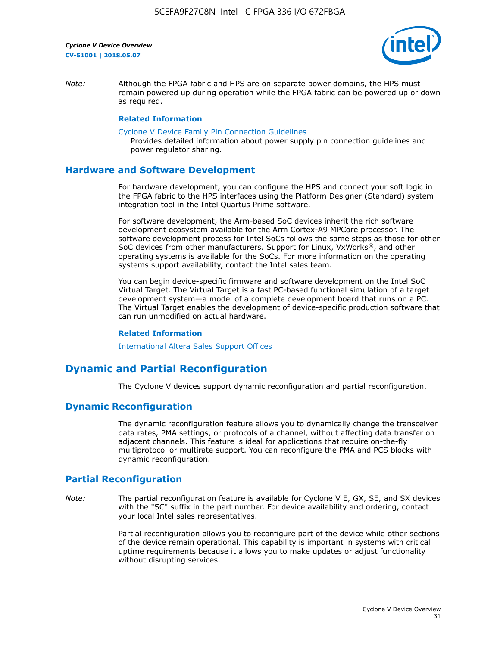

*Note:* Although the FPGA fabric and HPS are on separate power domains, the HPS must remain powered up during operation while the FPGA fabric can be powered up or down as required.

#### **Related Information**

[Cyclone V Device Family Pin Connection Guidelines](https://www.altera.com/content/dam/altera-www/global/en_US/pdfs/literature/dp/cyclone-v/pcg-01014.pdf)

Provides detailed information about power supply pin connection guidelines and power regulator sharing.

#### **Hardware and Software Development**

For hardware development, you can configure the HPS and connect your soft logic in the FPGA fabric to the HPS interfaces using the Platform Designer (Standard) system integration tool in the Intel Quartus Prime software.

For software development, the Arm-based SoC devices inherit the rich software development ecosystem available for the Arm Cortex-A9 MPCore processor. The software development process for Intel SoCs follows the same steps as those for other SoC devices from other manufacturers. Support for Linux, VxWorks®, and other operating systems is available for the SoCs. For more information on the operating systems support availability, contact the Intel sales team.

You can begin device-specific firmware and software development on the Intel SoC Virtual Target. The Virtual Target is a fast PC-based functional simulation of a target development system—a model of a complete development board that runs on a PC. The Virtual Target enables the development of device-specific production software that can run unmodified on actual hardware.

#### **Related Information**

[International Altera Sales Support Offices](https://www.altera.com/about/contact/contact/international-altera-sales-offices.html)

# **Dynamic and Partial Reconfiguration**

The Cyclone V devices support dynamic reconfiguration and partial reconfiguration.

## **Dynamic Reconfiguration**

The dynamic reconfiguration feature allows you to dynamically change the transceiver data rates, PMA settings, or protocols of a channel, without affecting data transfer on adjacent channels. This feature is ideal for applications that require on-the-fly multiprotocol or multirate support. You can reconfigure the PMA and PCS blocks with dynamic reconfiguration.

# **Partial Reconfiguration**

*Note:* The partial reconfiguration feature is available for Cyclone V E, GX, SE, and SX devices with the "SC" suffix in the part number. For device availability and ordering, contact your local Intel sales representatives.

> Partial reconfiguration allows you to reconfigure part of the device while other sections of the device remain operational. This capability is important in systems with critical uptime requirements because it allows you to make updates or adjust functionality without disrupting services.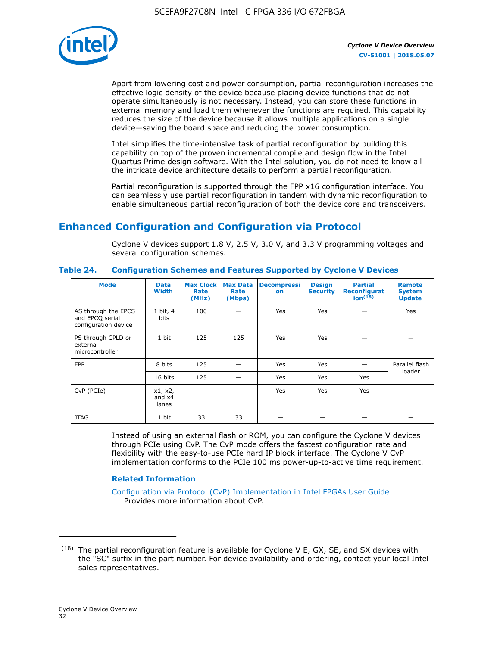

Apart from lowering cost and power consumption, partial reconfiguration increases the effective logic density of the device because placing device functions that do not operate simultaneously is not necessary. Instead, you can store these functions in external memory and load them whenever the functions are required. This capability reduces the size of the device because it allows multiple applications on a single device—saving the board space and reducing the power consumption.

Intel simplifies the time-intensive task of partial reconfiguration by building this capability on top of the proven incremental compile and design flow in the Intel Quartus Prime design software. With the Intel solution, you do not need to know all the intricate device architecture details to perform a partial reconfiguration.

Partial reconfiguration is supported through the FPP x16 configuration interface. You can seamlessly use partial reconfiguration in tandem with dynamic reconfiguration to enable simultaneous partial reconfiguration of both the device core and transceivers.

# **Enhanced Configuration and Configuration via Protocol**

Cyclone V devices support 1.8 V, 2.5 V, 3.0 V, and 3.3 V programming voltages and several configuration schemes.

| <b>Mode</b>                                                    | <b>Data</b><br>Width         | Max Clock  <br>Rate<br>(MHz) | <b>Max Data</b><br>Rate<br>(Mbps) | <b>Decompressi</b><br>on | <b>Design</b><br><b>Security</b> | <b>Partial</b><br>Reconfigurat<br>ion <sup>(18)</sup> | <b>Remote</b><br><b>System</b><br><b>Update</b> |
|----------------------------------------------------------------|------------------------------|------------------------------|-----------------------------------|--------------------------|----------------------------------|-------------------------------------------------------|-------------------------------------------------|
| AS through the EPCS<br>and EPCQ serial<br>configuration device | 1 bit, 4<br>bits             | 100                          |                                   | Yes                      | <b>Yes</b>                       |                                                       | Yes                                             |
| PS through CPLD or<br>external<br>microcontroller              | 1 bit                        | 125                          | 125                               | Yes                      | Yes                              |                                                       |                                                 |
| <b>FPP</b>                                                     | 8 bits                       | 125                          |                                   | Yes                      | <b>Yes</b>                       |                                                       | Parallel flash                                  |
|                                                                | 16 bits                      | 125                          |                                   | Yes                      | <b>Yes</b>                       | Yes                                                   | loader                                          |
| CvP (PCIe)                                                     | x1, x2,<br>and $x4$<br>lanes |                              |                                   | Yes                      | <b>Yes</b>                       | Yes                                                   |                                                 |
| <b>JTAG</b>                                                    | 1 bit                        | 33                           | 33                                |                          |                                  |                                                       |                                                 |

**Table 24. Configuration Schemes and Features Supported by Cyclone V Devices**

Instead of using an external flash or ROM, you can configure the Cyclone V devices through PCIe using CvP. The CvP mode offers the fastest configuration rate and flexibility with the easy-to-use PCIe hard IP block interface. The Cyclone V CvP implementation conforms to the PCIe 100 ms power-up-to-active time requirement.

## **Related Information**

[Configuration via Protocol \(CvP\) Implementation in Intel FPGAs User Guide](https://www.altera.com/documentation/nik1412546950394.html#nik1412546833714) Provides more information about CvP.

 $(18)$  The partial reconfiguration feature is available for Cyclone V E, GX, SE, and SX devices with the "SC" suffix in the part number. For device availability and ordering, contact your local Intel sales representatives.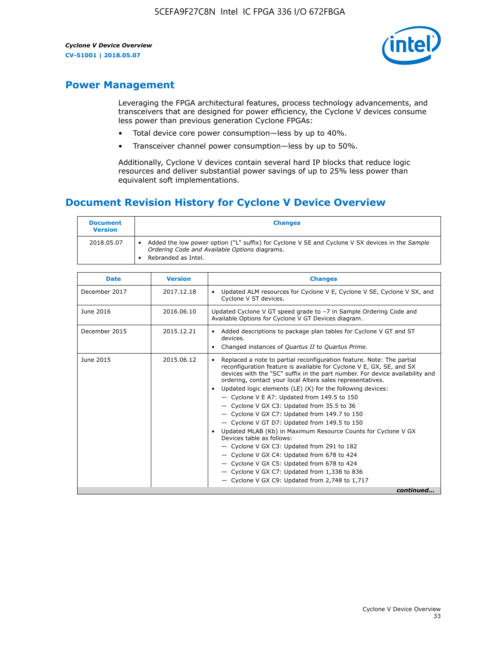

# **Power Management**

Leveraging the FPGA architectural features, process technology advancements, and transceivers that are designed for power efficiency, the Cyclone V devices consume less power than previous generation Cyclone FPGAs:

- Total device core power consumption—less by up to 40%.
- Transceiver channel power consumption—less by up to 50%.

Additionally, Cyclone V devices contain several hard IP blocks that reduce logic resources and deliver substantial power savings of up to 25% less power than equivalent soft implementations.

# **Document Revision History for Cyclone V Device Overview**

| <b>Document</b><br><b>Version</b> | <b>Changes</b>                                                                                                                                                          |
|-----------------------------------|-------------------------------------------------------------------------------------------------------------------------------------------------------------------------|
| 2018.05.07                        | Added the low power option ("L" suffix) for Cyclone V SE and Cyclone V SX devices in the Sample<br>Ordering Code and Available Options diagrams.<br>Rebranded as Intel. |

| <b>Date</b>   | <b>Version</b> | <b>Changes</b>                                                                                                                                                                                                                                                                                                                                                                                                                                                                                                                                                                                                                                                                                                                                                                                                                                                                                                  |
|---------------|----------------|-----------------------------------------------------------------------------------------------------------------------------------------------------------------------------------------------------------------------------------------------------------------------------------------------------------------------------------------------------------------------------------------------------------------------------------------------------------------------------------------------------------------------------------------------------------------------------------------------------------------------------------------------------------------------------------------------------------------------------------------------------------------------------------------------------------------------------------------------------------------------------------------------------------------|
| December 2017 | 2017.12.18     | Updated ALM resources for Cyclone V E, Cyclone V SE, Cyclone V SX, and<br>Cyclone V ST devices.                                                                                                                                                                                                                                                                                                                                                                                                                                                                                                                                                                                                                                                                                                                                                                                                                 |
| June 2016     | 2016.06.10     | Updated Cyclone V GT speed grade to -7 in Sample Ordering Code and<br>Available Options for Cyclone V GT Devices diagram.                                                                                                                                                                                                                                                                                                                                                                                                                                                                                                                                                                                                                                                                                                                                                                                       |
| December 2015 | 2015.12.21     | Added descriptions to package plan tables for Cyclone V GT and ST<br>devices.<br>Changed instances of Quartus II to Quartus Prime.                                                                                                                                                                                                                                                                                                                                                                                                                                                                                                                                                                                                                                                                                                                                                                              |
| June 2015     | 2015.06.12     | Replaced a note to partial reconfiguration feature. Note: The partial<br>reconfiguration feature is available for Cyclone V E, GX, SE, and SX<br>devices with the "SC" suffix in the part number. For device availability and<br>ordering, contact your local Altera sales representatives.<br>Updated logic elements (LE) (K) for the following devices:<br>$\bullet$<br>- Cyclone V E A7: Updated from 149.5 to 150<br>- Cyclone V GX C3: Updated from 35.5 to 36<br>- Cyclone V GX C7: Updated from 149.7 to 150<br>- Cyclone V GT D7: Updated from 149.5 to 150<br>Updated MLAB (Kb) in Maximum Resource Counts for Cyclone V GX<br>Devices table as follows:<br>- Cyclone V GX C3: Updated from 291 to 182<br>- Cyclone V GX C4: Updated from 678 to 424<br>- Cyclone V GX C5: Updated from 678 to 424<br>- Cyclone V GX C7: Updated from 1,338 to 836<br>$-$ Cyclone V GX C9: Updated from 2,748 to 1,717 |
|               |                | continued                                                                                                                                                                                                                                                                                                                                                                                                                                                                                                                                                                                                                                                                                                                                                                                                                                                                                                       |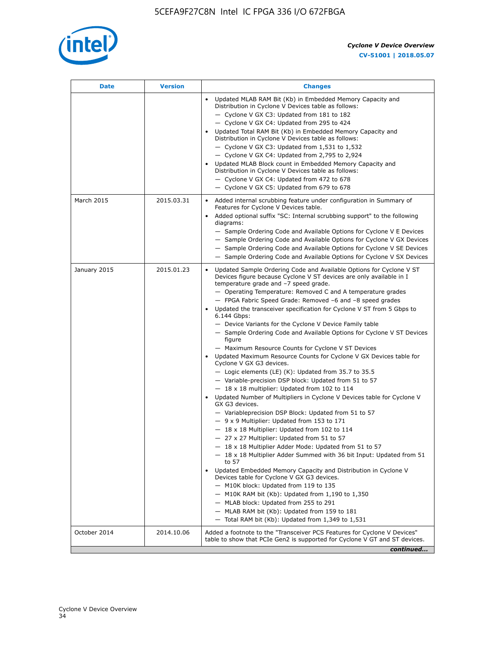

| <b>Date</b>  | <b>Version</b> | <b>Changes</b>                                                                                                                                                                                                                                                                                                                                                                                                                                                                                                                                                                                                                                                                                                                                                                                                                                                                                                                                                                                                                                                                                                                                                                                                                                                                                                                                                                                                                                                                                                                                                                                                                                                                                                |
|--------------|----------------|---------------------------------------------------------------------------------------------------------------------------------------------------------------------------------------------------------------------------------------------------------------------------------------------------------------------------------------------------------------------------------------------------------------------------------------------------------------------------------------------------------------------------------------------------------------------------------------------------------------------------------------------------------------------------------------------------------------------------------------------------------------------------------------------------------------------------------------------------------------------------------------------------------------------------------------------------------------------------------------------------------------------------------------------------------------------------------------------------------------------------------------------------------------------------------------------------------------------------------------------------------------------------------------------------------------------------------------------------------------------------------------------------------------------------------------------------------------------------------------------------------------------------------------------------------------------------------------------------------------------------------------------------------------------------------------------------------------|
|              |                | Updated MLAB RAM Bit (Kb) in Embedded Memory Capacity and<br>Distribution in Cyclone V Devices table as follows:<br>- Cyclone V GX C3: Updated from 181 to 182<br>- Cyclone V GX C4: Updated from 295 to 424<br>Updated Total RAM Bit (Kb) in Embedded Memory Capacity and<br>Distribution in Cyclone V Devices table as follows:<br>- Cyclone V GX C3: Updated from $1,531$ to $1,532$<br>- Cyclone V GX C4: Updated from 2,795 to 2,924<br>Updated MLAB Block count in Embedded Memory Capacity and<br>Distribution in Cyclone V Devices table as follows:<br>- Cyclone V GX C4: Updated from 472 to 678<br>- Cyclone V GX C5: Updated from 679 to 678                                                                                                                                                                                                                                                                                                                                                                                                                                                                                                                                                                                                                                                                                                                                                                                                                                                                                                                                                                                                                                                      |
| March 2015   | 2015.03.31     | Added internal scrubbing feature under configuration in Summary of<br>$\bullet$<br>Features for Cyclone V Devices table.<br>Added optional suffix "SC: Internal scrubbing support" to the following<br>diagrams:<br>- Sample Ordering Code and Available Options for Cyclone V E Devices<br>- Sample Ordering Code and Available Options for Cyclone V GX Devices<br>- Sample Ordering Code and Available Options for Cyclone V SE Devices<br>- Sample Ordering Code and Available Options for Cyclone V SX Devices                                                                                                                                                                                                                                                                                                                                                                                                                                                                                                                                                                                                                                                                                                                                                                                                                                                                                                                                                                                                                                                                                                                                                                                           |
| January 2015 | 2015.01.23     | Updated Sample Ordering Code and Available Options for Cyclone V ST<br>Devices figure because Cyclone V ST devices are only available in I<br>temperature grade and -7 speed grade.<br>- Operating Temperature: Removed C and A temperature grades<br>- FPGA Fabric Speed Grade: Removed -6 and -8 speed grades<br>Updated the transceiver specification for Cyclone V ST from 5 Gbps to<br>6.144 Gbps:<br>- Device Variants for the Cyclone V Device Family table<br>- Sample Ordering Code and Available Options for Cyclone V ST Devices<br>figure<br>- Maximum Resource Counts for Cyclone V ST Devices<br>Updated Maximum Resource Counts for Cyclone V GX Devices table for<br>Cyclone V GX G3 devices.<br>$-$ Logic elements (LE) (K): Updated from 35.7 to 35.5<br>- Variable-precision DSP block: Updated from 51 to 57<br>$-18 \times 18$ multiplier: Updated from 102 to 114<br>Updated Number of Multipliers in Cyclone V Devices table for Cyclone V<br>GX G3 devices.<br>- Variableprecision DSP Block: Updated from 51 to 57<br>$-9x9$ Multiplier: Updated from 153 to 171<br>$-18 \times 18$ Multiplier: Updated from 102 to 114<br>- 27 x 27 Multiplier: Updated from 51 to 57<br>- 18 x 18 Multiplier Adder Mode: Updated from 51 to 57<br>$-18 \times 18$ Multiplier Adder Summed with 36 bit Input: Updated from 51<br>to 57<br>Updated Embedded Memory Capacity and Distribution in Cyclone V<br>Devices table for Cyclone V GX G3 devices.<br>- M10K block: Updated from 119 to 135<br>- M10K RAM bit (Kb): Updated from 1,190 to 1,350<br>- MLAB block: Updated from 255 to 291<br>- MLAB RAM bit (Kb): Updated from 159 to 181<br>$-$ Total RAM bit (Kb): Updated from 1,349 to 1,531 |
| October 2014 | 2014.10.06     | Added a footnote to the "Transceiver PCS Features for Cyclone V Devices"<br>table to show that PCIe Gen2 is supported for Cyclone V GT and ST devices.                                                                                                                                                                                                                                                                                                                                                                                                                                                                                                                                                                                                                                                                                                                                                                                                                                                                                                                                                                                                                                                                                                                                                                                                                                                                                                                                                                                                                                                                                                                                                        |
|              |                | continued                                                                                                                                                                                                                                                                                                                                                                                                                                                                                                                                                                                                                                                                                                                                                                                                                                                                                                                                                                                                                                                                                                                                                                                                                                                                                                                                                                                                                                                                                                                                                                                                                                                                                                     |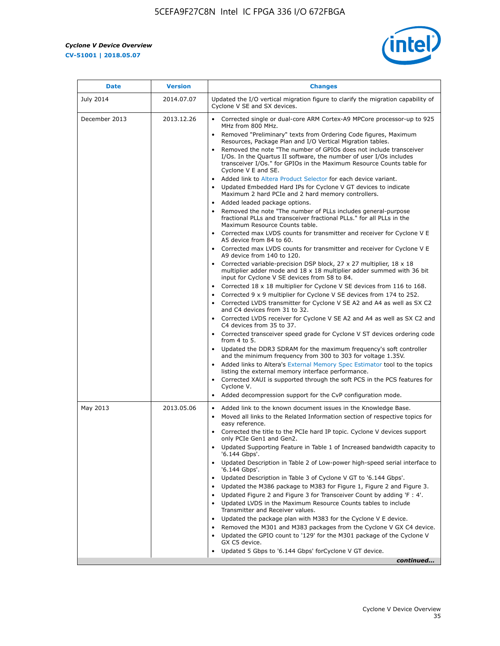r



| <b>Date</b>   | <b>Version</b> | <b>Changes</b>                                                                                                                                                                                                                                                                                                                                                                                                                                                                                                                                                                                                                                                                                                                                                                                                                                                                                                                                                                                                                                                                                                                                                                                                                                   |
|---------------|----------------|--------------------------------------------------------------------------------------------------------------------------------------------------------------------------------------------------------------------------------------------------------------------------------------------------------------------------------------------------------------------------------------------------------------------------------------------------------------------------------------------------------------------------------------------------------------------------------------------------------------------------------------------------------------------------------------------------------------------------------------------------------------------------------------------------------------------------------------------------------------------------------------------------------------------------------------------------------------------------------------------------------------------------------------------------------------------------------------------------------------------------------------------------------------------------------------------------------------------------------------------------|
| July 2014     | 2014.07.07     | Updated the I/O vertical migration figure to clarify the migration capability of<br>Cyclone V SE and SX devices.                                                                                                                                                                                                                                                                                                                                                                                                                                                                                                                                                                                                                                                                                                                                                                                                                                                                                                                                                                                                                                                                                                                                 |
| December 2013 | 2013.12.26     | Corrected single or dual-core ARM Cortex-A9 MPCore processor-up to 925<br>MHz from 800 MHz.<br>Removed "Preliminary" texts from Ordering Code figures, Maximum<br>Resources, Package Plan and I/O Vertical Migration tables.<br>Removed the note "The number of GPIOs does not include transceiver<br>I/Os. In the Quartus II software, the number of user I/Os includes<br>transceiver I/Os." for GPIOs in the Maximum Resource Counts table for<br>Cyclone V E and SE.<br>Added link to Altera Product Selector for each device variant.<br>Updated Embedded Hard IPs for Cyclone V GT devices to indicate<br>Maximum 2 hard PCIe and 2 hard memory controllers.<br>• Added leaded package options.<br>Removed the note "The number of PLLs includes general-purpose<br>fractional PLLs and transceiver fractional PLLs." for all PLLs in the<br>Maximum Resource Counts table.<br>• Corrected max LVDS counts for transmitter and receiver for Cyclone V E                                                                                                                                                                                                                                                                                    |
|               |                | A5 device from 84 to 60.<br>• Corrected max LVDS counts for transmitter and receiver for Cyclone V E<br>A9 device from 140 to 120.<br>Corrected variable-precision DSP block, 27 x 27 multiplier, 18 x 18<br>multiplier adder mode and 18 x 18 multiplier adder summed with 36 bit<br>input for Cyclone V SE devices from 58 to 84.<br>Corrected 18 x 18 multiplier for Cyclone V SE devices from 116 to 168.<br>Corrected 9 x 9 multiplier for Cyclone V SE devices from 174 to 252.<br>• Corrected LVDS transmitter for Cyclone V SE A2 and A4 as well as SX C2<br>and C4 devices from 31 to 32.<br>• Corrected LVDS receiver for Cyclone V SE A2 and A4 as well as SX C2 and<br>C4 devices from 35 to 37.<br>• Corrected transceiver speed grade for Cyclone V ST devices ordering code<br>from 4 to 5.<br>• Updated the DDR3 SDRAM for the maximum frequency's soft controller<br>and the minimum frequency from 300 to 303 for voltage 1.35V.<br>Added links to Altera's External Memory Spec Estimator tool to the topics<br>listing the external memory interface performance.<br>• Corrected XAUI is supported through the soft PCS in the PCS features for<br>Cyclone V.<br>Added decompression support for the CvP configuration mode. |
| May 2013      | 2013.05.06     | Added link to the known document issues in the Knowledge Base.<br>$\bullet$<br>Moved all links to the Related Information section of respective topics for<br>$\bullet$<br>easy reference.<br>• Corrected the title to the PCIe hard IP topic. Cyclone V devices support<br>only PCIe Gen1 and Gen2.<br>• Updated Supporting Feature in Table 1 of Increased bandwidth capacity to<br>'6.144 Gbps'.<br>Updated Description in Table 2 of Low-power high-speed serial interface to<br>'6.144 Gbps'.<br>Updated Description in Table 3 of Cyclone V GT to '6.144 Gbps'.<br>Updated the M386 package to M383 for Figure 1, Figure 2 and Figure 3.<br>$\bullet$<br>Updated Figure 2 and Figure 3 for Transceiver Count by adding 'F : 4'.<br>$\bullet$<br>Updated LVDS in the Maximum Resource Counts tables to include<br>Transmitter and Receiver values.<br>Updated the package plan with M383 for the Cyclone V E device.<br>Removed the M301 and M383 packages from the Cyclone V GX C4 device.<br>Updated the GPIO count to '129' for the M301 package of the Cyclone V<br>$\bullet$<br>GX C5 device.<br>Updated 5 Gbps to '6.144 Gbps' for Cyclone V GT device.<br>continued                                                                  |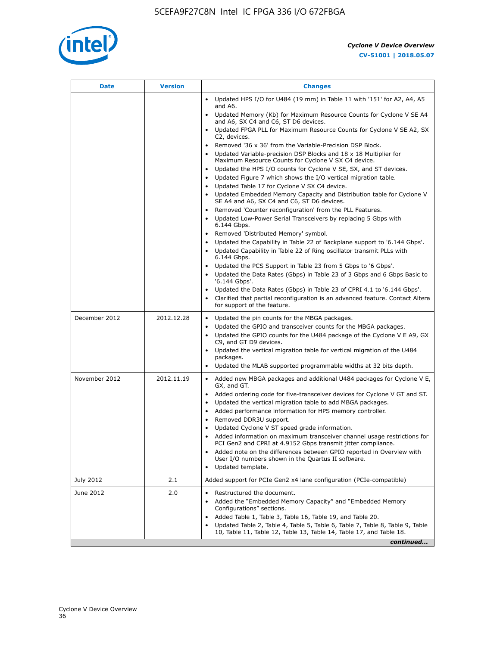

| Date          | <b>Version</b> | <b>Changes</b>                                                                                                                                      |
|---------------|----------------|-----------------------------------------------------------------------------------------------------------------------------------------------------|
|               |                | • Updated HPS I/O for U484 (19 mm) in Table 11 with '151' for A2, A4, A5<br>and A6.                                                                 |
|               |                | • Updated Memory (Kb) for Maximum Resource Counts for Cyclone V SE A4<br>and A6, SX C4 and C6, ST D6 devices.                                       |
|               |                | • Updated FPGA PLL for Maximum Resource Counts for Cyclone V SE A2, SX<br>C2, devices.                                                              |
|               |                | • Removed '36 x 36' from the Variable-Precision DSP Block.                                                                                          |
|               |                | Updated Variable-precision DSP Blocks and 18 x 18 Multiplier for<br>Maximum Resource Counts for Cyclone V SX C4 device.                             |
|               |                | • Updated the HPS I/O counts for Cyclone V SE, SX, and ST devices.                                                                                  |
|               |                | Updated Figure 7 which shows the I/O vertical migration table.<br>Updated Table 17 for Cyclone V SX C4 device.                                      |
|               |                | • Updated Embedded Memory Capacity and Distribution table for Cyclone V<br>SE A4 and A6, SX C4 and C6, ST D6 devices.                               |
|               |                | Removed 'Counter reconfiguration' from the PLL Features.                                                                                            |
|               |                | Updated Low-Power Serial Transceivers by replacing 5 Gbps with<br>6.144 Gbps.                                                                       |
|               |                | Removed 'Distributed Memory' symbol.<br>$\bullet$                                                                                                   |
|               |                | Updated the Capability in Table 22 of Backplane support to '6.144 Gbps'.                                                                            |
|               |                | • Updated Capability in Table 22 of Ring oscillator transmit PLLs with<br>6.144 Gbps.                                                               |
|               |                | Updated the PCS Support in Table 23 from 5 Gbps to '6 Gbps'.                                                                                        |
|               |                | Updated the Data Rates (Gbps) in Table 23 of 3 Gbps and 6 Gbps Basic to<br>$\bullet$<br>'6.144 Gbps'.                                               |
|               |                | Updated the Data Rates (Gbps) in Table 23 of CPRI 4.1 to '6.144 Gbps'.                                                                              |
|               |                | Clarified that partial reconfiguration is an advanced feature. Contact Altera<br>for support of the feature.                                        |
| December 2012 | 2012.12.28     | Updated the pin counts for the MBGA packages.<br>$\bullet$                                                                                          |
|               |                | Updated the GPIO and transceiver counts for the MBGA packages.                                                                                      |
|               |                | Updated the GPIO counts for the U484 package of the Cyclone V E A9, GX<br>C9, and GT D9 devices.                                                    |
|               |                | • Updated the vertical migration table for vertical migration of the U484<br>packages.                                                              |
|               |                | Updated the MLAB supported programmable widths at 32 bits depth.                                                                                    |
| November 2012 | 2012.11.19     | • Added new MBGA packages and additional U484 packages for Cyclone V E,                                                                             |
|               |                | GX, and GT.                                                                                                                                         |
|               |                | • Added ordering code for five-transceiver devices for Cyclone V GT and ST.                                                                         |
|               |                | Updated the vertical migration table to add MBGA packages.<br>Added performance information for HPS memory controller.                              |
|               |                | Removed DDR3U support.<br>$\bullet$                                                                                                                 |
|               |                | Updated Cyclone V ST speed grade information.                                                                                                       |
|               |                | Added information on maximum transceiver channel usage restrictions for<br>PCI Gen2 and CPRI at 4.9152 Gbps transmit jitter compliance.             |
|               |                | Added note on the differences between GPIO reported in Overview with                                                                                |
|               |                | User I/O numbers shown in the Quartus II software.<br>Updated template.                                                                             |
| July 2012     | 2.1            | Added support for PCIe Gen2 x4 lane configuration (PCIe-compatible)                                                                                 |
| June 2012     | 2.0            | Restructured the document.                                                                                                                          |
|               |                | Added the "Embedded Memory Capacity" and "Embedded Memory<br>Configurations" sections.                                                              |
|               |                | Added Table 1, Table 3, Table 16, Table 19, and Table 20.<br>$\bullet$                                                                              |
|               |                | Updated Table 2, Table 4, Table 5, Table 6, Table 7, Table 8, Table 9, Table<br>10, Table 11, Table 12, Table 13, Table 14, Table 17, and Table 18. |
|               |                | continued                                                                                                                                           |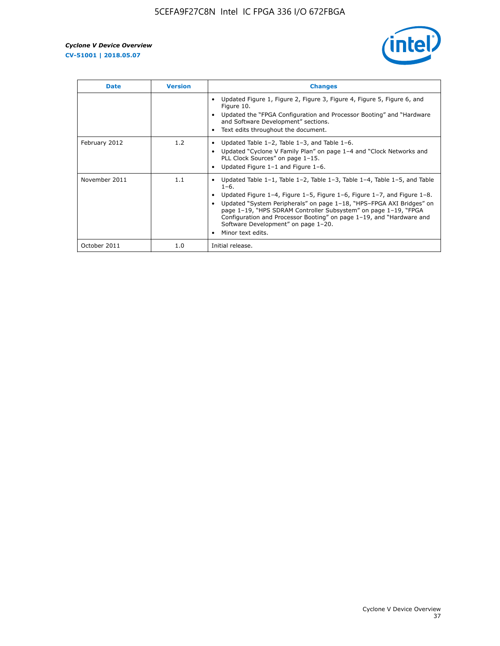

| <b>Date</b>   | <b>Version</b> | <b>Changes</b>                                                                                                                                                                                                                                                                                                                                                                                                                                                             |
|---------------|----------------|----------------------------------------------------------------------------------------------------------------------------------------------------------------------------------------------------------------------------------------------------------------------------------------------------------------------------------------------------------------------------------------------------------------------------------------------------------------------------|
|               |                | Updated Figure 1, Figure 2, Figure 3, Figure 4, Figure 5, Figure 6, and<br>Figure 10.<br>Updated the "FPGA Configuration and Processor Booting" and "Hardware<br>and Software Development" sections.<br>Text edits throughout the document.                                                                                                                                                                                                                                |
| February 2012 | 1.2            | Updated Table $1-2$ , Table $1-3$ , and Table $1-6$ .<br>Updated "Cyclone V Family Plan" on page 1-4 and "Clock Networks and<br>$\bullet$<br>PLL Clock Sources" on page 1-15.<br>Updated Figure 1-1 and Figure 1-6.                                                                                                                                                                                                                                                        |
| November 2011 | 1.1            | Updated Table $1-1$ , Table $1-2$ , Table $1-3$ , Table $1-4$ , Table $1-5$ , and Table<br>$1 - 6.$<br>Updated Figure 1-4, Figure 1-5, Figure 1-6, Figure 1-7, and Figure 1-8.<br>Updated "System Peripherals" on page 1-18, "HPS-FPGA AXI Bridges" on<br>page 1-19, "HPS SDRAM Controller Subsystem" on page 1-19, "FPGA<br>Configuration and Processor Booting" on page 1-19, and "Hardware and<br>Software Development" on page 1-20.<br>Minor text edits.<br>$\bullet$ |
| October 2011  | 1.0            | Initial release.                                                                                                                                                                                                                                                                                                                                                                                                                                                           |